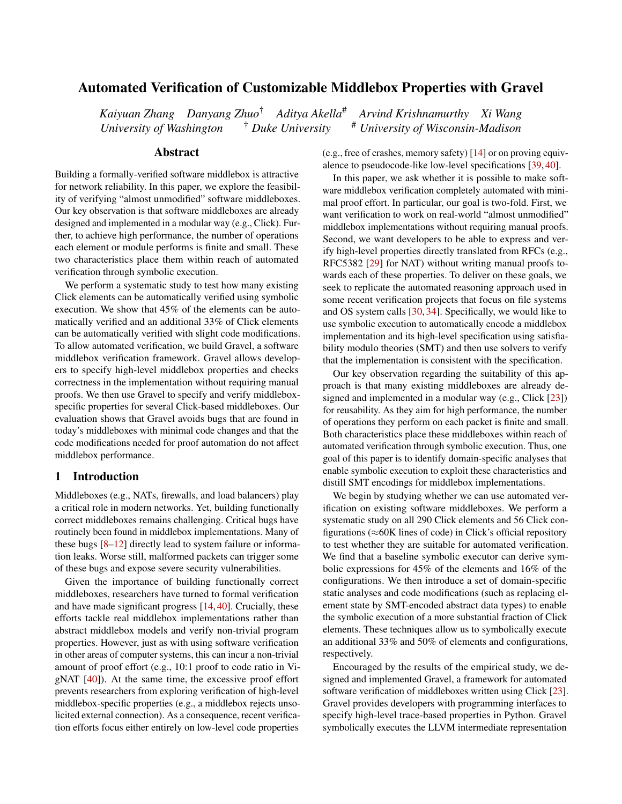# Automated Verification of Customizable Middlebox Properties with Gravel

*Kaiyuan Zhang Danyang Zhuo*† *Aditya Akella*# *Arvind Krishnamurthy Xi Wang University of Washington* † *Duke University* # *University of Wisconsin-Madison*

# Abstract

Building a formally-verified software middlebox is attractive for network reliability. In this paper, we explore the feasibility of verifying "almost unmodified" software middleboxes. Our key observation is that software middleboxes are already designed and implemented in a modular way (e.g., Click). Further, to achieve high performance, the number of operations each element or module performs is finite and small. These two characteristics place them within reach of automated verification through symbolic execution.

We perform a systematic study to test how many existing Click elements can be automatically verified using symbolic execution. We show that 45% of the elements can be automatically verified and an additional 33% of Click elements can be automatically verified with slight code modifications. To allow automated verification, we build Gravel, a software middlebox verification framework. Gravel allows developers to specify high-level middlebox properties and checks correctness in the implementation without requiring manual proofs. We then use Gravel to specify and verify middleboxspecific properties for several Click-based middleboxes. Our evaluation shows that Gravel avoids bugs that are found in today's middleboxes with minimal code changes and that the code modifications needed for proof automation do not affect middlebox performance.

### 1 Introduction

Middleboxes (e.g., NATs, firewalls, and load balancers) play a critical role in modern networks. Yet, building functionally correct middleboxes remains challenging. Critical bugs have routinely been found in middlebox implementations. Many of these bugs [\[8–](#page-13-0)[12\]](#page-13-1) directly lead to system failure or information leaks. Worse still, malformed packets can trigger some of these bugs and expose severe security vulnerabilities.

Given the importance of building functionally correct middleboxes, researchers have turned to formal verification and have made significant progress [\[14,](#page-13-2) [40\]](#page-14-0). Crucially, these efforts tackle real middlebox implementations rather than abstract middlebox models and verify non-trivial program properties. However, just as with using software verification in other areas of computer systems, this can incur a non-trivial amount of proof effort (e.g., 10:1 proof to code ratio in VigNAT [\[40\]](#page-14-0)). At the same time, the excessive proof effort prevents researchers from exploring verification of high-level middlebox-specific properties (e.g., a middlebox rejects unsolicited external connection). As a consequence, recent verification efforts focus either entirely on low-level code properties

(e.g., free of crashes, memory safety) [\[14\]](#page-13-2) or on proving equivalence to pseudocode-like low-level specifications [\[39,](#page-14-1) [40\]](#page-14-0).

In this paper, we ask whether it is possible to make software middlebox verification completely automated with minimal proof effort. In particular, our goal is two-fold. First, we want verification to work on real-world "almost unmodified" middlebox implementations without requiring manual proofs. Second, we want developers to be able to express and verify high-level properties directly translated from RFCs (e.g., RFC5382 [\[29\]](#page-14-2) for NAT) without writing manual proofs towards each of these properties. To deliver on these goals, we seek to replicate the automated reasoning approach used in some recent verification projects that focus on file systems and OS system calls [\[30,](#page-14-3) [34\]](#page-14-4). Specifically, we would like to use symbolic execution to automatically encode a middlebox implementation and its high-level specification using satisfiability modulo theories (SMT) and then use solvers to verify that the implementation is consistent with the specification.

Our key observation regarding the suitability of this approach is that many existing middleboxes are already designed and implemented in a modular way (e.g., Click [\[23\]](#page-13-3)) for reusability. As they aim for high performance, the number of operations they perform on each packet is finite and small. Both characteristics place these middleboxes within reach of automated verification through symbolic execution. Thus, one goal of this paper is to identify domain-specific analyses that enable symbolic execution to exploit these characteristics and distill SMT encodings for middlebox implementations.

We begin by studying whether we can use automated verification on existing software middleboxes. We perform a systematic study on all 290 Click elements and 56 Click configurations ( $\approx$ 60K lines of code) in Click's official repository to test whether they are suitable for automated verification. We find that a baseline symbolic executor can derive symbolic expressions for 45% of the elements and 16% of the configurations. We then introduce a set of domain-specific static analyses and code modifications (such as replacing element state by SMT-encoded abstract data types) to enable the symbolic execution of a more substantial fraction of Click elements. These techniques allow us to symbolically execute an additional 33% and 50% of elements and configurations, respectively.

Encouraged by the results of the empirical study, we designed and implemented Gravel, a framework for automated software verification of middleboxes written using Click [\[23\]](#page-13-3). Gravel provides developers with programming interfaces to specify high-level trace-based properties in Python. Gravel symbolically executes the LLVM intermediate representation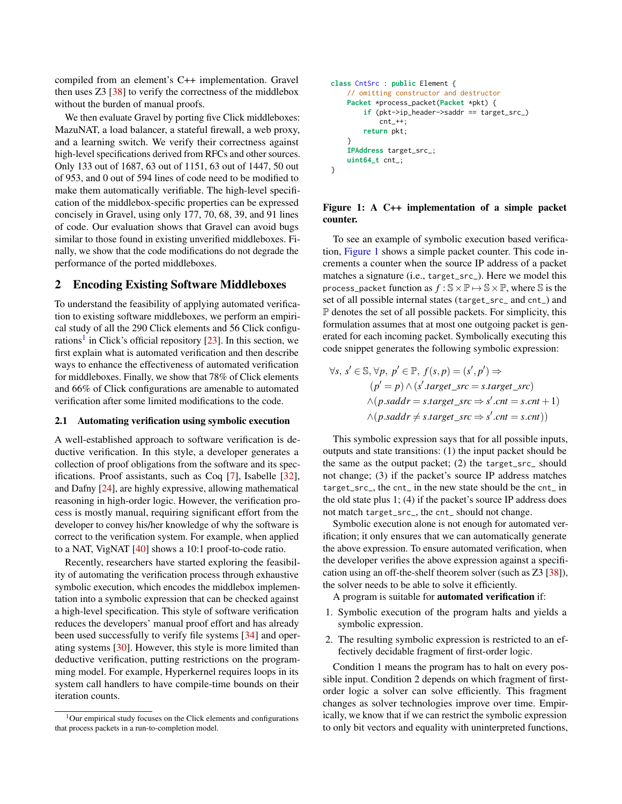compiled from an element's C++ implementation. Gravel then uses Z3 [\[38\]](#page-14-5) to verify the correctness of the middlebox without the burden of manual proofs.

We then evaluate Gravel by porting five Click middleboxes: MazuNAT, a load balancer, a stateful firewall, a web proxy, and a learning switch. We verify their correctness against high-level specifications derived from RFCs and other sources. Only 133 out of 1687, 63 out of 1151, 63 out of 1447, 50 out of 953, and 0 out of 594 lines of code need to be modified to make them automatically verifiable. The high-level specification of the middlebox-specific properties can be expressed concisely in Gravel, using only 177, 70, 68, 39, and 91 lines of code. Our evaluation shows that Gravel can avoid bugs similar to those found in existing unverified middleboxes. Finally, we show that the code modifications do not degrade the performance of the ported middleboxes.

# <span id="page-1-2"></span>2 Encoding Existing Software Middleboxes

To understand the feasibility of applying automated verification to existing software middleboxes, we perform an empirical study of all the 290 Click elements and 56 Click configu-rations<sup>[1](#page-1-0)</sup> in Click's official repository [\[23\]](#page-13-3). In this section, we first explain what is automated verification and then describe ways to enhance the effectiveness of automated verification for middleboxes. Finally, we show that 78% of Click elements and 66% of Click configurations are amenable to automated verification after some limited modifications to the code.

#### 2.1 Automating verification using symbolic execution

A well-established approach to software verification is deductive verification. In this style, a developer generates a collection of proof obligations from the software and its specifications. Proof assistants, such as Coq [\[7\]](#page-13-4), Isabelle [\[32\]](#page-14-6), and Dafny [\[24\]](#page-13-5), are highly expressive, allowing mathematical reasoning in high-order logic. However, the verification process is mostly manual, requiring significant effort from the developer to convey his/her knowledge of why the software is correct to the verification system. For example, when applied to a NAT, VigNAT [\[40\]](#page-14-0) shows a 10:1 proof-to-code ratio.

Recently, researchers have started exploring the feasibility of automating the verification process through exhaustive symbolic execution, which encodes the middlebox implementation into a symbolic expression that can be checked against a high-level specification. This style of software verification reduces the developers' manual proof effort and has already been used successfully to verify file systems [\[34\]](#page-14-4) and operating systems [\[30\]](#page-14-3). However, this style is more limited than deductive verification, putting restrictions on the programming model. For example, Hyperkernel requires loops in its system call handlers to have compile-time bounds on their iteration counts.

```
class CntSrc : public Element {
    // omitting constructor and destructor
    Packet *process_packet(Packet *pkt) {
        if (pkt->ip_header->saddr == target_src_)
            cnt + +:
        return pkt;
    }
    IPAddress target_src_;
    uint64_t cnt_;
}
```
### Figure 1: A C++ implementation of a simple packet counter.

To see an example of symbolic execution based verification, [Figure 1](#page-1-1) shows a simple packet counter. This code increments a counter when the source IP address of a packet matches a signature (i.e., target\_src\_). Here we model this process\_packet function as  $f : \mathbb{S} \times \mathbb{P} \mapsto \mathbb{S} \times \mathbb{P}$ , where  $\mathbb{S}$  is the set of all possible internal states (target\_src\_ and cnt\_) and  $\mathbb P$  denotes the set of all possible packets. For simplicity, this formulation assumes that at most one outgoing packet is generated for each incoming packet. Symbolically executing this code snippet generates the following symbolic expression:

$$
\forall s, s' \in \mathbb{S}, \forall p, p' \in \mathbb{P}, f(s, p) = (s', p') \Rightarrow
$$
  
\n
$$
(p' = p) \land (s'.target\_src = s.target\_src)
$$
  
\n
$$
\land (p.saddr = s.target\_src \Rightarrow s'.cnt = s.cnt + 1)
$$
  
\n
$$
\land (p.saddr \neq s.target\_src \Rightarrow s'.cnt = s.cnt))
$$

This symbolic expression says that for all possible inputs, outputs and state transitions: (1) the input packet should be the same as the output packet; (2) the target\_src\_ should not change; (3) if the packet's source IP address matches target\_src\_, the cnt\_ in the new state should be the cnt\_ in the old state plus 1; (4) if the packet's source IP address does not match target\_src\_, the cnt\_ should not change.

Symbolic execution alone is not enough for automated verification; it only ensures that we can automatically generate the above expression. To ensure automated verification, when the developer verifies the above expression against a specification using an off-the-shelf theorem solver (such as Z3 [\[38\]](#page-14-5)), the solver needs to be able to solve it efficiently.

A program is suitable for automated verification if:

- 1. Symbolic execution of the program halts and yields a symbolic expression.
- 2. The resulting symbolic expression is restricted to an effectively decidable fragment of first-order logic.

Condition 1 means the program has to halt on every possible input. Condition 2 depends on which fragment of firstorder logic a solver can solve efficiently. This fragment changes as solver technologies improve over time. Empirically, we know that if we can restrict the symbolic expression to only bit vectors and equality with uninterpreted functions,

<span id="page-1-0"></span><sup>&</sup>lt;sup>1</sup>Our empirical study focuses on the Click elements and configurations that process packets in a run-to-completion model.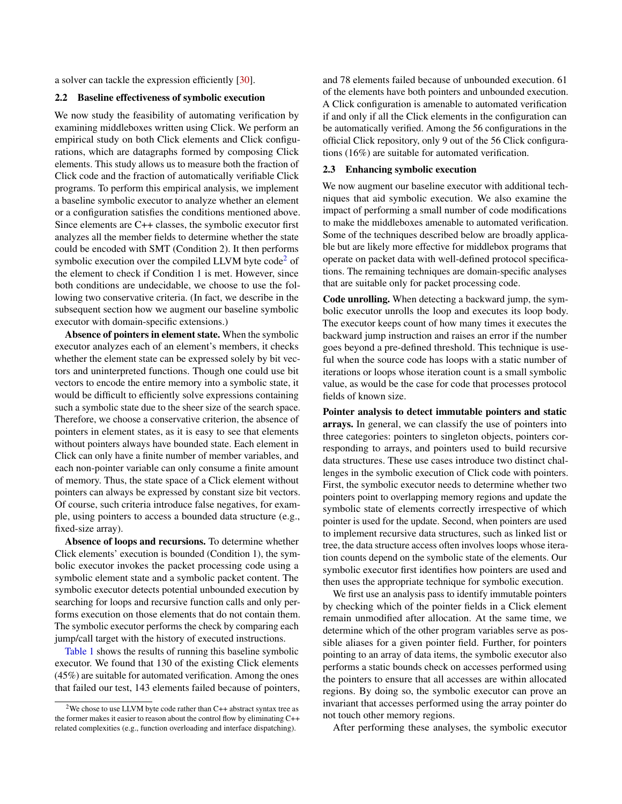a solver can tackle the expression efficiently [\[30\]](#page-14-3).

### 2.2 Baseline effectiveness of symbolic execution

We now study the feasibility of automating verification by examining middleboxes written using Click. We perform an empirical study on both Click elements and Click configurations, which are datagraphs formed by composing Click elements. This study allows us to measure both the fraction of Click code and the fraction of automatically verifiable Click programs. To perform this empirical analysis, we implement a baseline symbolic executor to analyze whether an element or a configuration satisfies the conditions mentioned above. Since elements are C++ classes, the symbolic executor first analyzes all the member fields to determine whether the state could be encoded with SMT (Condition 2). It then performs symbolic execution over the compiled LLVM byte  $\text{code}^2$  $\text{code}^2$  of the element to check if Condition 1 is met. However, since both conditions are undecidable, we choose to use the following two conservative criteria. (In fact, we describe in the subsequent section how we augment our baseline symbolic executor with domain-specific extensions.)

Absence of pointers in element state. When the symbolic executor analyzes each of an element's members, it checks whether the element state can be expressed solely by bit vectors and uninterpreted functions. Though one could use bit vectors to encode the entire memory into a symbolic state, it would be difficult to efficiently solve expressions containing such a symbolic state due to the sheer size of the search space. Therefore, we choose a conservative criterion, the absence of pointers in element states, as it is easy to see that elements without pointers always have bounded state. Each element in Click can only have a finite number of member variables, and each non-pointer variable can only consume a finite amount of memory. Thus, the state space of a Click element without pointers can always be expressed by constant size bit vectors. Of course, such criteria introduce false negatives, for example, using pointers to access a bounded data structure (e.g., fixed-size array).

Absence of loops and recursions. To determine whether Click elements' execution is bounded (Condition 1), the symbolic executor invokes the packet processing code using a symbolic element state and a symbolic packet content. The symbolic executor detects potential unbounded execution by searching for loops and recursive function calls and only performs execution on those elements that do not contain them. The symbolic executor performs the check by comparing each jump/call target with the history of executed instructions.

[Table 1](#page-4-0) shows the results of running this baseline symbolic executor. We found that 130 of the existing Click elements (45%) are suitable for automated verification. Among the ones that failed our test, 143 elements failed because of pointers, and 78 elements failed because of unbounded execution. 61 of the elements have both pointers and unbounded execution. A Click configuration is amenable to automated verification if and only if all the Click elements in the configuration can be automatically verified. Among the 56 configurations in the official Click repository, only 9 out of the 56 Click configurations (16%) are suitable for automated verification.

### <span id="page-2-1"></span>2.3 Enhancing symbolic execution

We now augment our baseline executor with additional techniques that aid symbolic execution. We also examine the impact of performing a small number of code modifications to make the middleboxes amenable to automated verification. Some of the techniques described below are broadly applicable but are likely more effective for middlebox programs that operate on packet data with well-defined protocol specifications. The remaining techniques are domain-specific analyses that are suitable only for packet processing code.

Code unrolling. When detecting a backward jump, the symbolic executor unrolls the loop and executes its loop body. The executor keeps count of how many times it executes the backward jump instruction and raises an error if the number goes beyond a pre-defined threshold. This technique is useful when the source code has loops with a static number of iterations or loops whose iteration count is a small symbolic value, as would be the case for code that processes protocol fields of known size.

Pointer analysis to detect immutable pointers and static arrays. In general, we can classify the use of pointers into three categories: pointers to singleton objects, pointers corresponding to arrays, and pointers used to build recursive data structures. These use cases introduce two distinct challenges in the symbolic execution of Click code with pointers. First, the symbolic executor needs to determine whether two pointers point to overlapping memory regions and update the symbolic state of elements correctly irrespective of which pointer is used for the update. Second, when pointers are used to implement recursive data structures, such as linked list or tree, the data structure access often involves loops whose iteration counts depend on the symbolic state of the elements. Our symbolic executor first identifies how pointers are used and then uses the appropriate technique for symbolic execution.

We first use an analysis pass to identify immutable pointers by checking which of the pointer fields in a Click element remain unmodified after allocation. At the same time, we determine which of the other program variables serve as possible aliases for a given pointer field. Further, for pointers pointing to an array of data items, the symbolic executor also performs a static bounds check on accesses performed using the pointers to ensure that all accesses are within allocated regions. By doing so, the symbolic executor can prove an invariant that accesses performed using the array pointer do not touch other memory regions.

After performing these analyses, the symbolic executor

<span id="page-2-0"></span><sup>&</sup>lt;sup>2</sup>We chose to use LLVM byte code rather than C++ abstract syntax tree as the former makes it easier to reason about the control flow by eliminating C++ related complexities (e.g., function overloading and interface dispatching).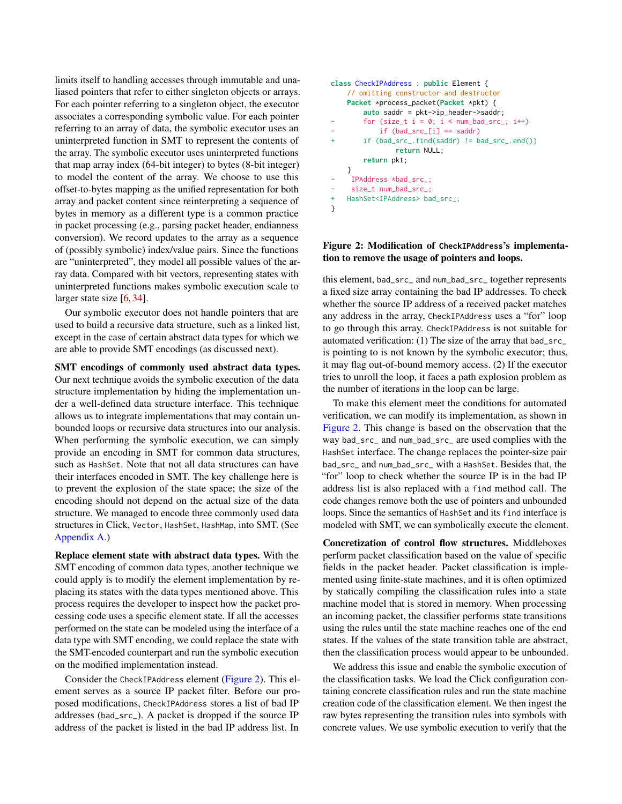limits itself to handling accesses through immutable and unaliased pointers that refer to either singleton objects or arrays. For each pointer referring to a singleton object, the executor associates a corresponding symbolic value. For each pointer referring to an array of data, the symbolic executor uses an uninterpreted function in SMT to represent the contents of the array. The symbolic executor uses uninterpreted functions that map array index (64-bit integer) to bytes (8-bit integer) to model the content of the array. We choose to use this offset-to-bytes mapping as the unified representation for both array and packet content since reinterpreting a sequence of bytes in memory as a different type is a common practice in packet processing (e.g., parsing packet header, endianness conversion). We record updates to the array as a sequence of (possibly symbolic) index/value pairs. Since the functions are "uninterpreted", they model all possible values of the array data. Compared with bit vectors, representing states with uninterpreted functions makes symbolic execution scale to larger state size [\[6,](#page-13-6) [34\]](#page-14-4).

Our symbolic executor does not handle pointers that are used to build a recursive data structure, such as a linked list, except in the case of certain abstract data types for which we are able to provide SMT encodings (as discussed next).

SMT encodings of commonly used abstract data types. Our next technique avoids the symbolic execution of the data structure implementation by hiding the implementation under a well-defined data structure interface. This technique allows us to integrate implementations that may contain unbounded loops or recursive data structures into our analysis. When performing the symbolic execution, we can simply provide an encoding in SMT for common data structures, such as HashSet. Note that not all data structures can have their interfaces encoded in SMT. The key challenge here is to prevent the explosion of the state space; the size of the encoding should not depend on the actual size of the data structure. We managed to encode three commonly used data structures in Click, Vector, HashSet, HashMap, into SMT. (See [Appendix A.](#page-14-7))

Replace element state with abstract data types. With the SMT encoding of common data types, another technique we could apply is to modify the element implementation by replacing its states with the data types mentioned above. This process requires the developer to inspect how the packet processing code uses a specific element state. If all the accesses performed on the state can be modeled using the interface of a data type with SMT encoding, we could replace the state with the SMT-encoded counterpart and run the symbolic execution on the modified implementation instead.

Consider the CheckIPAddress element [\(Figure 2\)](#page-3-0). This element serves as a source IP packet filter. Before our proposed modifications, CheckIPAddress stores a list of bad IP addresses (bad\_src\_). A packet is dropped if the source IP address of the packet is listed in the bad IP address list. In

```
class CheckIPAddress : public Element {
    // omitting constructor and destructor
    Packet *process_packet(Packet *pkt) {
        auto saddr = pkt->ip_header->saddr;
        for (size_t i = 0; i < num_bad_src_i; i++)if (bad\_src[i] == saddr)if (bad\_src\_find(saddr) != bad\_src\_end())return NULL;
        return pkt;
    }
    - IPAddress *bad_src_;
- size_t num_bad_src_;
+ HashSet<IPAddress> bad_src_;
}
```
### Figure 2: Modification of **CheckIPAddress**'s implementation to remove the usage of pointers and loops.

this element, bad\_src\_ and num\_bad\_src\_ together represents a fixed size array containing the bad IP addresses. To check whether the source IP address of a received packet matches any address in the array, CheckIPAddress uses a "for" loop to go through this array. CheckIPAddress is not suitable for automated verification: (1) The size of the array that bad\_src\_ is pointing to is not known by the symbolic executor; thus, it may flag out-of-bound memory access. (2) If the executor tries to unroll the loop, it faces a path explosion problem as the number of iterations in the loop can be large.

To make this element meet the conditions for automated verification, we can modify its implementation, as shown in [Figure 2.](#page-3-0) This change is based on the observation that the way bad\_src\_ and num\_bad\_src\_ are used complies with the HashSet interface. The change replaces the pointer-size pair bad\_src\_ and num\_bad\_src\_ with a HashSet. Besides that, the "for" loop to check whether the source IP is in the bad IP address list is also replaced with a find method call. The code changes remove both the use of pointers and unbounded loops. Since the semantics of HashSet and its find interface is modeled with SMT, we can symbolically execute the element.

Concretization of control flow structures. Middleboxes perform packet classification based on the value of specific fields in the packet header. Packet classification is implemented using finite-state machines, and it is often optimized by statically compiling the classification rules into a state machine model that is stored in memory. When processing an incoming packet, the classifier performs state transitions using the rules until the state machine reaches one of the end states. If the values of the state transition table are abstract, then the classification process would appear to be unbounded.

We address this issue and enable the symbolic execution of the classification tasks. We load the Click configuration containing concrete classification rules and run the state machine creation code of the classification element. We then ingest the raw bytes representing the transition rules into symbols with concrete values. We use symbolic execution to verify that the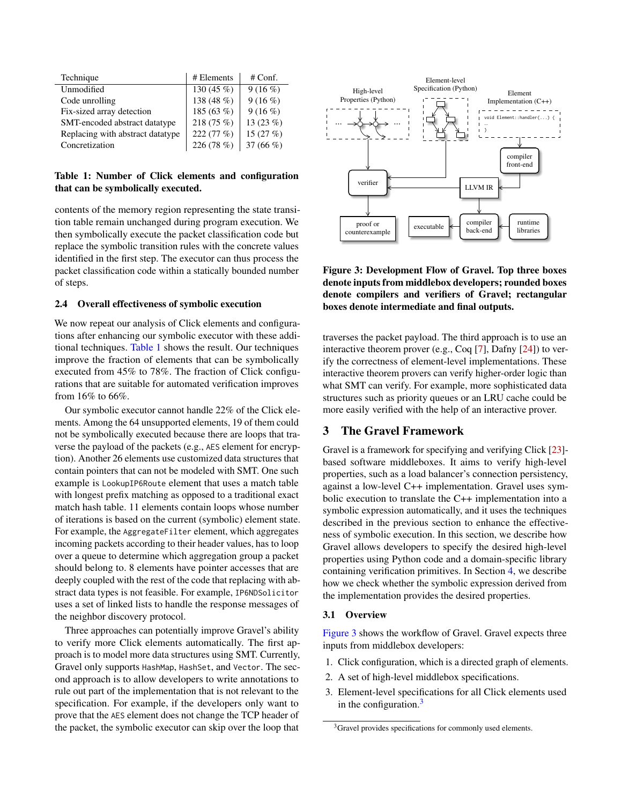<span id="page-4-0"></span>

| Technique                        | # Elements  | $#$ Conf.   |
|----------------------------------|-------------|-------------|
| Unmodified                       | 130 $(45\%$ | 9(16%)      |
| Code unrolling                   | 138 (48 %)  | 9(16%)      |
| Fix-sized array detection        | 185 (63 %)  | 9(16%)      |
| SMT-encoded abstract datatype    | 218 (75 %)  | 13 $(23\%)$ |
| Replacing with abstract datatype | 222 (77 %)  | 15 $(27%)$  |
| Concretization                   | 226 (78 %)  | 37 $(66\%)$ |

### Table 1: Number of Click elements and configuration that can be symbolically executed.

contents of the memory region representing the state transition table remain unchanged during program execution. We then symbolically execute the packet classification code but replace the symbolic transition rules with the concrete values identified in the first step. The executor can thus process the packet classification code within a statically bounded number of steps.

#### 2.4 Overall effectiveness of symbolic execution

We now repeat our analysis of Click elements and configurations after enhancing our symbolic executor with these additional techniques. [Table 1](#page-4-0) shows the result. Our techniques improve the fraction of elements that can be symbolically executed from 45% to 78%. The fraction of Click configurations that are suitable for automated verification improves from 16% to 66%.

Our symbolic executor cannot handle 22% of the Click elements. Among the 64 unsupported elements, 19 of them could not be symbolically executed because there are loops that traverse the payload of the packets (e.g., AES element for encryption). Another 26 elements use customized data structures that contain pointers that can not be modeled with SMT. One such example is LookupIP6Route element that uses a match table with longest prefix matching as opposed to a traditional exact match hash table. 11 elements contain loops whose number of iterations is based on the current (symbolic) element state. For example, the AggregateFilter element, which aggregates incoming packets according to their header values, has to loop over a queue to determine which aggregation group a packet should belong to. 8 elements have pointer accesses that are deeply coupled with the rest of the code that replacing with abstract data types is not feasible. For example, IP6NDSolicitor uses a set of linked lists to handle the response messages of the neighbor discovery protocol.

Three approaches can potentially improve Gravel's ability to verify more Click elements automatically. The first approach is to model more data structures using SMT. Currently, Gravel only supports HashMap, HashSet, and Vector. The second approach is to allow developers to write annotations to rule out part of the implementation that is not relevant to the specification. For example, if the developers only want to prove that the AES element does not change the TCP header of the packet, the symbolic executor can skip over the loop that

<span id="page-4-1"></span>

## Figure 3: Development Flow of Gravel. Top three boxes denote inputs from middlebox developers; rounded boxes denote compilers and verifiers of Gravel; rectangular boxes denote intermediate and final outputs.

traverses the packet payload. The third approach is to use an interactive theorem prover (e.g., Coq [\[7\]](#page-13-4), Dafny [\[24\]](#page-13-5)) to verify the correctness of element-level implementations. These interactive theorem provers can verify higher-order logic than what SMT can verify. For example, more sophisticated data structures such as priority queues or an LRU cache could be more easily verified with the help of an interactive prover.

## <span id="page-4-3"></span>3 The Gravel Framework

Gravel is a framework for specifying and verifying Click [\[23\]](#page-13-3) based software middleboxes. It aims to verify high-level properties, such as a load balancer's connection persistency, against a low-level C++ implementation. Gravel uses symbolic execution to translate the C++ implementation into a symbolic expression automatically, and it uses the techniques described in the previous section to enhance the effectiveness of symbolic execution. In this section, we describe how Gravel allows developers to specify the desired high-level properties using Python code and a domain-specific library containing verification primitives. In Section [4,](#page-8-0) we describe how we check whether the symbolic expression derived from the implementation provides the desired properties.

## 3.1 Overview

[Figure 3](#page-4-1) shows the workflow of Gravel. Gravel expects three inputs from middlebox developers:

- 1. Click configuration, which is a directed graph of elements.
- 2. A set of high-level middlebox specifications.
- 3. Element-level specifications for all Click elements used in the configuration. $3$

<span id="page-4-2"></span><sup>&</sup>lt;sup>3</sup>Gravel provides specifications for commonly used elements.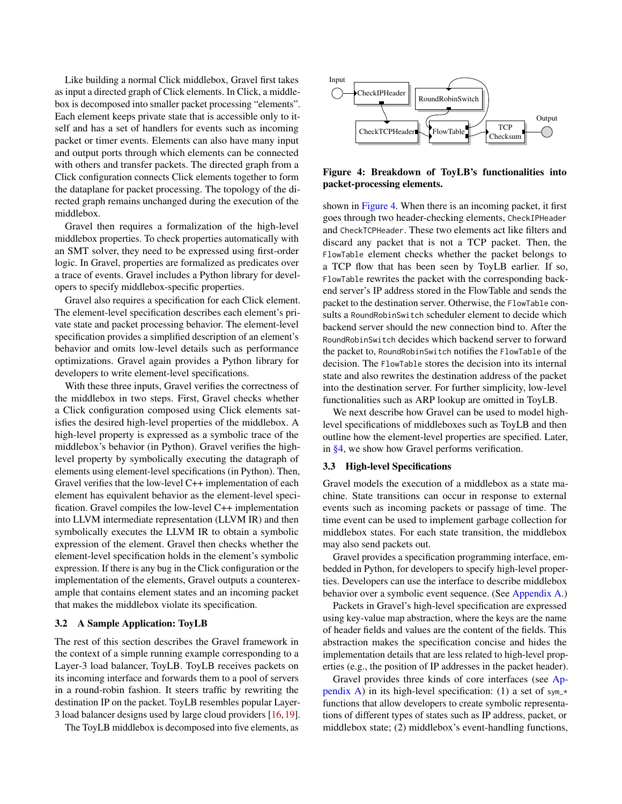Like building a normal Click middlebox, Gravel first takes as input a directed graph of Click elements. In Click, a middlebox is decomposed into smaller packet processing "elements". Each element keeps private state that is accessible only to itself and has a set of handlers for events such as incoming packet or timer events. Elements can also have many input and output ports through which elements can be connected with others and transfer packets. The directed graph from a Click configuration connects Click elements together to form the dataplane for packet processing. The topology of the directed graph remains unchanged during the execution of the middlebox.

Gravel then requires a formalization of the high-level middlebox properties. To check properties automatically with an SMT solver, they need to be expressed using first-order logic. In Gravel, properties are formalized as predicates over a trace of events. Gravel includes a Python library for developers to specify middlebox-specific properties.

Gravel also requires a specification for each Click element. The element-level specification describes each element's private state and packet processing behavior. The element-level specification provides a simplified description of an element's behavior and omits low-level details such as performance optimizations. Gravel again provides a Python library for developers to write element-level specifications.

With these three inputs, Gravel verifies the correctness of the middlebox in two steps. First, Gravel checks whether a Click configuration composed using Click elements satisfies the desired high-level properties of the middlebox. A high-level property is expressed as a symbolic trace of the middlebox's behavior (in Python). Gravel verifies the highlevel property by symbolically executing the datagraph of elements using element-level specifications (in Python). Then, Gravel verifies that the low-level C++ implementation of each element has equivalent behavior as the element-level specification. Gravel compiles the low-level C++ implementation into LLVM intermediate representation (LLVM IR) and then symbolically executes the LLVM IR to obtain a symbolic expression of the element. Gravel then checks whether the element-level specification holds in the element's symbolic expression. If there is any bug in the Click configuration or the implementation of the elements, Gravel outputs a counterexample that contains element states and an incoming packet that makes the middlebox violate its specification.

#### 3.2 A Sample Application: ToyLB

The rest of this section describes the Gravel framework in the context of a simple running example corresponding to a Layer-3 load balancer, ToyLB. ToyLB receives packets on its incoming interface and forwards them to a pool of servers in a round-robin fashion. It steers traffic by rewriting the destination IP on the packet. ToyLB resembles popular Layer-3 load balancer designs used by large cloud providers [\[16,](#page-13-7)[19\]](#page-13-8).

The ToyLB middlebox is decomposed into five elements, as

<span id="page-5-0"></span>

Figure 4: Breakdown of ToyLB's functionalities into packet-processing elements.

shown in [Figure 4.](#page-5-0) When there is an incoming packet, it first goes through two header-checking elements, CheckIPHeader and CheckTCPHeader. These two elements act like filters and discard any packet that is not a TCP packet. Then, the FlowTable element checks whether the packet belongs to a TCP flow that has been seen by ToyLB earlier. If so, FlowTable rewrites the packet with the corresponding backend server's IP address stored in the FlowTable and sends the packet to the destination server. Otherwise, the FlowTable consults a RoundRobinSwitch scheduler element to decide which backend server should the new connection bind to. After the RoundRobinSwitch decides which backend server to forward the packet to, RoundRobinSwitch notifies the FlowTable of the decision. The FlowTable stores the decision into its internal state and also rewrites the destination address of the packet into the destination server. For further simplicity, low-level functionalities such as ARP lookup are omitted in ToyLB.

We next describe how Gravel can be used to model highlevel specifications of middleboxes such as ToyLB and then outline how the element-level properties are specified. Later, in [§4,](#page-8-0) we show how Gravel performs verification.

#### <span id="page-5-1"></span>3.3 High-level Specifications

Gravel models the execution of a middlebox as a state machine. State transitions can occur in response to external events such as incoming packets or passage of time. The time event can be used to implement garbage collection for middlebox states. For each state transition, the middlebox may also send packets out.

Gravel provides a specification programming interface, embedded in Python, for developers to specify high-level properties. Developers can use the interface to describe middlebox behavior over a symbolic event sequence. (See [Appendix A.](#page-14-7))

Packets in Gravel's high-level specification are expressed using key-value map abstraction, where the keys are the name of header fields and values are the content of the fields. This abstraction makes the specification concise and hides the implementation details that are less related to high-level properties (e.g., the position of IP addresses in the packet header).

Gravel provides three kinds of core interfaces (see [Ap](#page-14-7)[pendix A\)](#page-14-7) in its high-level specification: (1) a set of  $sym-*$ functions that allow developers to create symbolic representations of different types of states such as IP address, packet, or middlebox state; (2) middlebox's event-handling functions,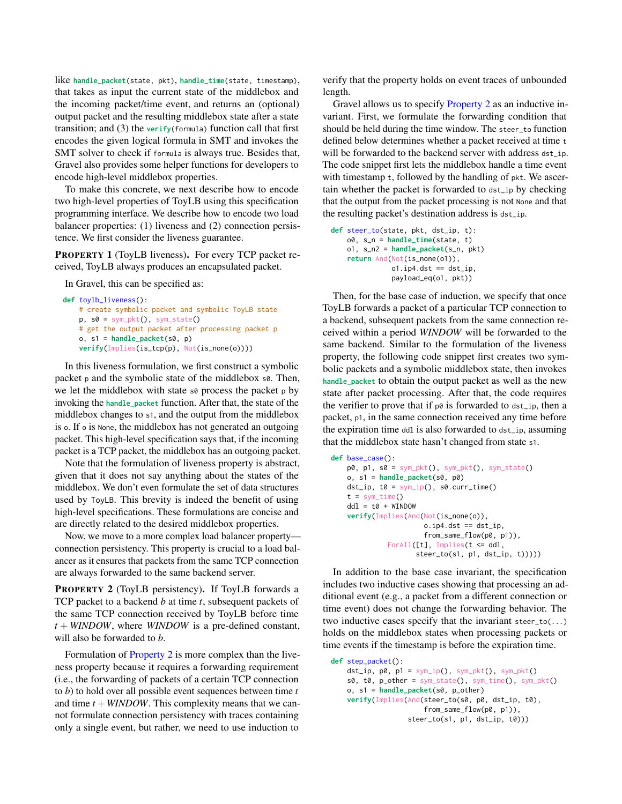like **handle\_packet**(state, pkt), **handle\_time**(state, timestamp), that takes as input the current state of the middlebox and the incoming packet/time event, and returns an (optional) output packet and the resulting middlebox state after a state transition; and (3) the **verify**(formula) function call that first encodes the given logical formula in SMT and invokes the SMT solver to check if formula is always true. Besides that, Gravel also provides some helper functions for developers to encode high-level middlebox properties.

To make this concrete, we next describe how to encode two high-level properties of ToyLB using this specification programming interface. We describe how to encode two load balancer properties: (1) liveness and (2) connection persistence. We first consider the liveness guarantee.

PROPERTY 1 (ToyLB liveness). For every TCP packet received, ToyLB always produces an encapsulated packet.

In Gravel, this can be specified as:

```
def toylb_liveness():
    # create symbolic packet and symbolic ToyLB state
    p, so = sym_pkt(), sym_state()
    # get the output packet after processing packet p
    o, s1 = handle_packet(s0, p)
    verify(Implies(is_tcp(p), Not(is_none(o))))
```
In this liveness formulation, we first construct a symbolic packet  $p$  and the symbolic state of the middlebox  $s\theta$ . Then, we let the middlebox with state  $\infty$  process the packet p by invoking the **handle\_packet** function. After that, the state of the middlebox changes to s1, and the output from the middlebox is o. If o is None, the middlebox has not generated an outgoing packet. This high-level specification says that, if the incoming packet is a TCP packet, the middlebox has an outgoing packet.

Note that the formulation of liveness property is abstract, given that it does not say anything about the states of the middlebox. We don't even formulate the set of data structures used by ToyLB. This brevity is indeed the benefit of using high-level specifications. These formulations are concise and are directly related to the desired middlebox properties.

Now, we move to a more complex load balancer property connection persistency. This property is crucial to a load balancer as it ensures that packets from the same TCP connection are always forwarded to the same backend server.

<span id="page-6-0"></span>PROPERTY 2 (ToyLB persistency). If ToyLB forwards a TCP packet to a backend *b* at time *t*, subsequent packets of the same TCP connection received by ToyLB before time *t* + *WINDOW*, where *WINDOW* is a pre-defined constant, will also be forwarded to *b*.

Formulation of [Property 2](#page-6-0) is more complex than the liveness property because it requires a forwarding requirement (i.e., the forwarding of packets of a certain TCP connection to *b*) to hold over all possible event sequences between time *t* and time  $t + \text{WINDOW}$ . This complexity means that we cannot formulate connection persistency with traces containing only a single event, but rather, we need to use induction to

verify that the property holds on event traces of unbounded length.

Gravel allows us to specify [Property 2](#page-6-0) as an inductive invariant. First, we formulate the forwarding condition that should be held during the time window. The steer\_to function defined below determines whether a packet received at time t will be forwarded to the backend server with address dst ip. The code snippet first lets the middlebox handle a time event with timestamp t, followed by the handling of pkt. We ascertain whether the packet is forwarded to dst\_ip by checking that the output from the packet processing is not None and that the resulting packet's destination address is dst\_ip.

```
def steer_to(state, pkt, dst_ip, t):
   o0, s_n = handle_time(state, t)
   o1, s_n2 = handle_packet(s_n, pkt)
    return And(Not(is_none(o1)),
              ol.jp4.dst = dist_ip,payload_eq(o1, pkt))
```
Then, for the base case of induction, we specify that once ToyLB forwards a packet of a particular TCP connection to a backend, subsequent packets from the same connection received within a period *WINDOW* will be forwarded to the same backend. Similar to the formulation of the liveness property, the following code snippet first creates two symbolic packets and a symbolic middlebox state, then invokes **handle\_packet** to obtain the output packet as well as the new state after packet processing. After that, the code requires the verifier to prove that if  $p\theta$  is forwarded to  $dst\_ip$ , then a packet, p1, in the same connection received any time before the expiration time ddl is also forwarded to dst\_ip, assuming that the middlebox state hasn't changed from state s1.

```
def base_case():
   p0, p1, s0 = sym_pkt(), sym_pkt(), sym_state()
   o, s1 = handle_packet(s0, p0)
   dst\_ip, t0 = sym\_ip(), s0.curr\_time()t = sym_time()dd1 = t0 + WINDOWverify(Implies(And(Not(is_none(o)),
                       o.ip4.dst == dst_ip.
                       from_same_flow(p0, p1)),
              ForAll([t], Implies(t <= ddl,
                     steer_to(s1, p1, dst_ip, t)))))
```
In addition to the base case invariant, the specification includes two inductive cases showing that processing an additional event (e.g., a packet from a different connection or time event) does not change the forwarding behavior. The two inductive cases specify that the invariant steer\_to(...) holds on the middlebox states when processing packets or time events if the timestamp is before the expiration time.

```
def step_packet():
    dst\_ip, p0, p1 = sym\_ip(), sym\_pkt(), sym\_pkt()s0, t0, p_{other} = sym_{state}(), sym_{time}(), sym_{pkt}()o, s1 = handle_packet(s0, p_other)
    verify(Implies(And(steer_to(s0, p0, dst_ip, t0),
                        from_same_flow(p0, p1)),
                    steer_to(s1, p1, dst_ip, t0)))
```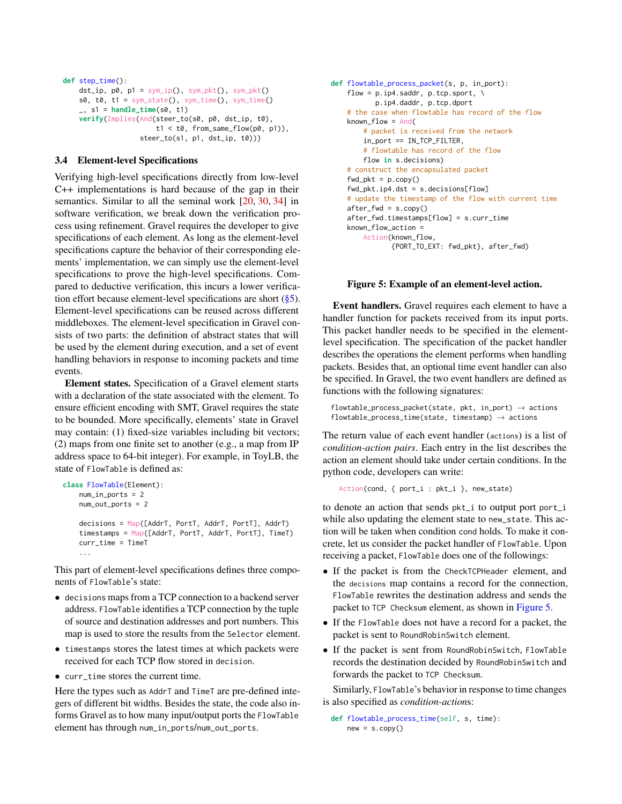```
def step_time():
    dst\_ip, p0, p1 = sym\_ip(), sym\_pkt(), sym\_pkt()s0, t0, t1 = sym_state(), sym_time(), sym_time()
    _, s1 = handle_time(s0, t1)
    verify(Implies(And(steer_to(s0, p0, dst_ip, t0),
                       t1 < t0, from_same_flow(p0, p1)),
                   steer_to(s1, p1, dst_ip, t0)))
```
### 3.4 Element-level Specifications

Verifying high-level specifications directly from low-level C++ implementations is hard because of the gap in their semantics. Similar to all the seminal work [\[20,](#page-13-9) [30,](#page-14-3) [34\]](#page-14-4) in software verification, we break down the verification process using refinement. Gravel requires the developer to give specifications of each element. As long as the element-level specifications capture the behavior of their corresponding elements' implementation, we can simply use the element-level specifications to prove the high-level specifications. Compared to deductive verification, this incurs a lower verification effort because element-level specifications are short  $(\frac{8}{5})$ . Element-level specifications can be reused across different middleboxes. The element-level specification in Gravel consists of two parts: the definition of abstract states that will be used by the element during execution, and a set of event handling behaviors in response to incoming packets and time events.

Element states. Specification of a Gravel element starts with a declaration of the state associated with the element. To ensure efficient encoding with SMT, Gravel requires the state to be bounded. More specifically, elements' state in Gravel may contain: (1) fixed-size variables including bit vectors; (2) maps from one finite set to another (e.g., a map from IP address space to 64-bit integer). For example, in ToyLB, the state of FlowTable is defined as:

```
class FlowTable(Element):
   num_in_ports = 2
    num_out_ports = 2
    decisions = Map([AddrT, PortT, AddrT, PortT], AddrT)
    timestamps = Map([AddrT, PortT, AddrT, PortT], TimeT)
    curr_time = TimeT
    ...
```
This part of element-level specifications defines three components of FlowTable's state:

- decisions maps from a TCP connection to a backend server address. FlowTable identifies a TCP connection by the tuple of source and destination addresses and port numbers. This map is used to store the results from the Selector element.
- timestamps stores the latest times at which packets were received for each TCP flow stored in decision.
- curr\_time stores the current time.

Here the types such as AddrT and TimeT are pre-defined integers of different bit widths. Besides the state, the code also informs Gravel as to how many input/output ports the FlowTable element has through num\_in\_ports/num\_out\_ports.

```
def flowtable_process_packet(s, p, in_port):
   flow = p.ip4.saddr, p.tcp.sport, \
          p.ip4.daddr, p.tcp.dport
   # the case when flowtable has record of the flow
   known flow = And(# packet is received from the network
       in_port == IN_TCP_FILTER,
        # flowtable has record of the flow
        flow in s.decisions)
    # construct the encapsulated packet
    fwd_pkt = p.copy()fwd_pkt.ip4.dst = s.decisions[flow]
    # update the timestamp of the flow with current time
   after_fwd = s.copy()after_fwd.timestamps[flow] = s.curr_time
    known_flow_action =
       Action(known_flow,
               {PORT_TO_EXT: fwd_pkt}, after_fwd)
```
### Figure 5: Example of an element-level action.

Event handlers. Gravel requires each element to have a handler function for packets received from its input ports. This packet handler needs to be specified in the elementlevel specification. The specification of the packet handler describes the operations the element performs when handling packets. Besides that, an optional time event handler can also be specified. In Gravel, the two event handlers are defined as functions with the following signatures:

```
flowtable_process_packet(state, pkt, in_port) \rightarrow actions
flowtable\_process\_time(state, timestamp) \rightarrow actions
```
The return value of each event handler (actions) is a list of *condition-action pairs*. Each entry in the list describes the action an element should take under certain conditions. In the python code, developers can write:

Action(cond, { port\_i : pkt\_i }, new\_state)

to denote an action that sends pkt\_i to output port port\_i while also updating the element state to new\_state. This action will be taken when condition cond holds. To make it concrete, let us consider the packet handler of FlowTable. Upon receiving a packet, FlowTable does one of the followings:

- If the packet is from the CheckTCPHeader element, and the decisions map contains a record for the connection, FlowTable rewrites the destination address and sends the packet to TCP Checksum element, as shown in [Figure 5.](#page-7-0)
- If the FlowTable does not have a record for a packet, the packet is sent to RoundRobinSwitch element.
- If the packet is sent from RoundRobinSwitch, FlowTable records the destination decided by RoundRobinSwitch and forwards the packet to TCP Checksum.

Similarly, FlowTable's behavior in response to time changes is also specified as *condition-action*s:

```
def flowtable_process_time(self, s, time):
   new = s.copy()
```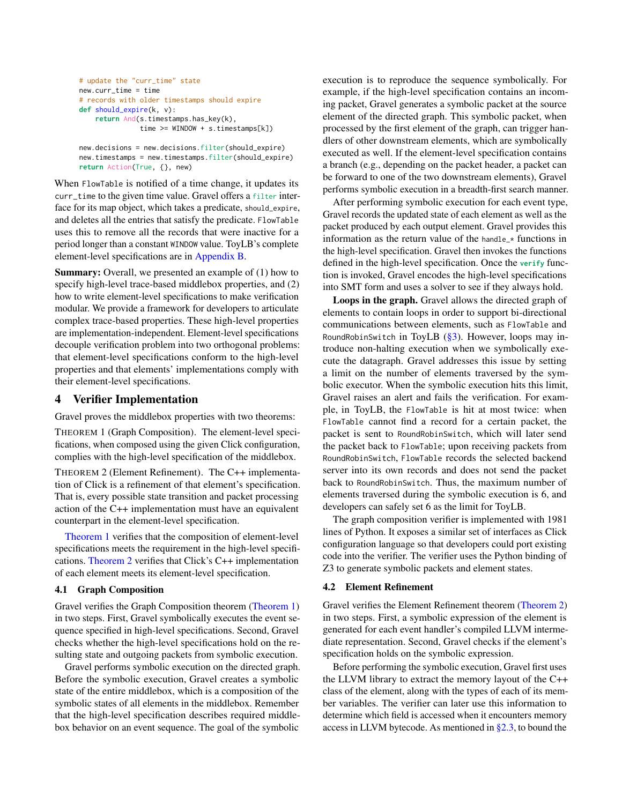```
# update the "curr_time" state
new.curr_time = time
# records with older timestamps should expire
def should_expire(k, v):
    return And(s.timestamps.has_key(k),
               time >= WINDOW + s.timestamps[k])
new.decisions = new.decisions.filter(should_expire)
```
new.timestamps = new.timestamps.filter(should\_expire) **return** Action(True, {}, new)

When FlowTable is notified of a time change, it updates its curr\_time to the given time value. Gravel offers a filter interface for its map object, which takes a predicate, should\_expire, and deletes all the entries that satisfy the predicate. FlowTable uses this to remove all the records that were inactive for a period longer than a constant WINDOW value. ToyLB's complete element-level specifications are in [Appendix B.](#page-15-0)

Summary: Overall, we presented an example of (1) how to specify high-level trace-based middlebox properties, and (2) how to write element-level specifications to make verification modular. We provide a framework for developers to articulate complex trace-based properties. These high-level properties are implementation-independent. Element-level specifications decouple verification problem into two orthogonal problems: that element-level specifications conform to the high-level properties and that elements' implementations comply with their element-level specifications.

# <span id="page-8-0"></span>4 Verifier Implementation

Gravel proves the middlebox properties with two theorems:

<span id="page-8-1"></span>THEOREM 1 (Graph Composition). The element-level specifications, when composed using the given Click configuration, complies with the high-level specification of the middlebox.

<span id="page-8-2"></span>THEOREM 2 (Element Refinement). The C++ implementation of Click is a refinement of that element's specification. That is, every possible state transition and packet processing action of the C++ implementation must have an equivalent counterpart in the element-level specification.

[Theorem 1](#page-8-1) verifies that the composition of element-level specifications meets the requirement in the high-level specifications. [Theorem 2](#page-8-2) verifies that Click's C++ implementation of each element meets its element-level specification.

## 4.1 Graph Composition

Gravel verifies the Graph Composition theorem [\(Theorem 1\)](#page-8-1) in two steps. First, Gravel symbolically executes the event sequence specified in high-level specifications. Second, Gravel checks whether the high-level specifications hold on the resulting state and outgoing packets from symbolic execution.

Gravel performs symbolic execution on the directed graph. Before the symbolic execution, Gravel creates a symbolic state of the entire middlebox, which is a composition of the symbolic states of all elements in the middlebox. Remember that the high-level specification describes required middlebox behavior on an event sequence. The goal of the symbolic

execution is to reproduce the sequence symbolically. For example, if the high-level specification contains an incoming packet, Gravel generates a symbolic packet at the source element of the directed graph. This symbolic packet, when processed by the first element of the graph, can trigger handlers of other downstream elements, which are symbolically executed as well. If the element-level specification contains a branch (e.g., depending on the packet header, a packet can be forward to one of the two downstream elements), Gravel performs symbolic execution in a breadth-first search manner.

After performing symbolic execution for each event type, Gravel records the updated state of each element as well as the packet produced by each output element. Gravel provides this information as the return value of the handle  $*$  functions in the high-level specification. Gravel then invokes the functions defined in the high-level specification. Once the **verify** function is invoked, Gravel encodes the high-level specifications into SMT form and uses a solver to see if they always hold.

Loops in the graph. Gravel allows the directed graph of elements to contain loops in order to support bi-directional communications between elements, such as FlowTable and RoundRobinSwitch in ToyLB  $(\S 3)$ . However, loops may introduce non-halting execution when we symbolically execute the datagraph. Gravel addresses this issue by setting a limit on the number of elements traversed by the symbolic executor. When the symbolic execution hits this limit, Gravel raises an alert and fails the verification. For example, in ToyLB, the FlowTable is hit at most twice: when FlowTable cannot find a record for a certain packet, the packet is sent to RoundRobinSwitch, which will later send the packet back to FlowTable; upon receiving packets from RoundRobinSwitch, FlowTable records the selected backend server into its own records and does not send the packet back to RoundRobinSwitch. Thus, the maximum number of elements traversed during the symbolic execution is 6, and developers can safely set 6 as the limit for ToyLB.

The graph composition verifier is implemented with 1981 lines of Python. It exposes a similar set of interfaces as Click configuration language so that developers could port existing code into the verifier. The verifier uses the Python binding of Z3 to generate symbolic packets and element states.

#### 4.2 Element Refinement

Gravel verifies the Element Refinement theorem [\(Theorem 2\)](#page-8-2) in two steps. First, a symbolic expression of the element is generated for each event handler's compiled LLVM intermediate representation. Second, Gravel checks if the element's specification holds on the symbolic expression.

Before performing the symbolic execution, Gravel first uses the LLVM library to extract the memory layout of the C++ class of the element, along with the types of each of its member variables. The verifier can later use this information to determine which field is accessed when it encounters memory access in LLVM bytecode. As mentioned in  $\S 2.3$ , to bound the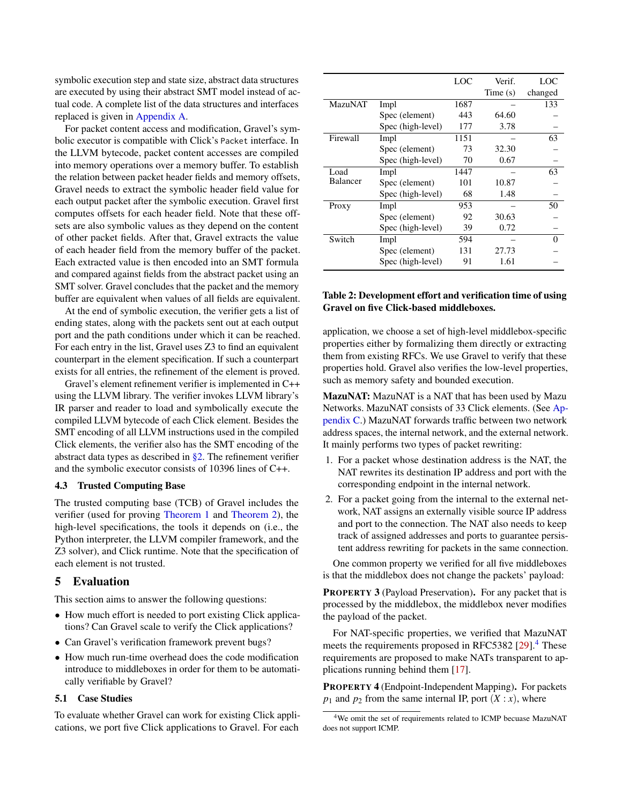symbolic execution step and state size, abstract data structures are executed by using their abstract SMT model instead of actual code. A complete list of the data structures and interfaces replaced is given in [Appendix A.](#page-14-7)

For packet content access and modification, Gravel's symbolic executor is compatible with Click's Packet interface. In the LLVM bytecode, packet content accesses are compiled into memory operations over a memory buffer. To establish the relation between packet header fields and memory offsets, Gravel needs to extract the symbolic header field value for each output packet after the symbolic execution. Gravel first computes offsets for each header field. Note that these offsets are also symbolic values as they depend on the content of other packet fields. After that, Gravel extracts the value of each header field from the memory buffer of the packet. Each extracted value is then encoded into an SMT formula and compared against fields from the abstract packet using an SMT solver. Gravel concludes that the packet and the memory buffer are equivalent when values of all fields are equivalent.

At the end of symbolic execution, the verifier gets a list of ending states, along with the packets sent out at each output port and the path conditions under which it can be reached. For each entry in the list, Gravel uses Z3 to find an equivalent counterpart in the element specification. If such a counterpart exists for all entries, the refinement of the element is proved.

Gravel's element refinement verifier is implemented in C++ using the LLVM library. The verifier invokes LLVM library's IR parser and reader to load and symbolically execute the compiled LLVM bytecode of each Click element. Besides the SMT encoding of all LLVM instructions used in the compiled Click elements, the verifier also has the SMT encoding of the abstract data types as described in [§2.](#page-1-2) The refinement verifier and the symbolic executor consists of 10396 lines of C++.

### 4.3 Trusted Computing Base

The trusted computing base (TCB) of Gravel includes the verifier (used for proving [Theorem 1](#page-8-1) and [Theorem 2\)](#page-8-2), the high-level specifications, the tools it depends on (i.e., the Python interpreter, the LLVM compiler framework, and the Z3 solver), and Click runtime. Note that the specification of each element is not trusted.

## <span id="page-9-0"></span>5 Evaluation

This section aims to answer the following questions:

- How much effort is needed to port existing Click applications? Can Gravel scale to verify the Click applications?
- Can Gravel's verification framework prevent bugs?
- How much run-time overhead does the code modification introduce to middleboxes in order for them to be automatically verifiable by Gravel?

#### <span id="page-9-5"></span>5.1 Case Studies

To evaluate whether Gravel can work for existing Click applications, we port five Click applications to Gravel. For each

<span id="page-9-2"></span>

|                 |                   | LOC  | Verif.     | LOC     |
|-----------------|-------------------|------|------------|---------|
|                 |                   |      | Time $(s)$ | changed |
| <b>MazuNAT</b>  | Impl              | 1687 |            | 133     |
|                 | Spec (element)    | 443  | 64.60      |         |
|                 | Spec (high-level) | 177  | 3.78       |         |
| Firewall        | Impl              | 1151 |            | 63      |
|                 | Spec (element)    | 73   | 32.30      |         |
|                 | Spec (high-level) | 70   | 0.67       |         |
| Load            | Impl              | 1447 |            | 63      |
| <b>Balancer</b> | Spec (element)    | 101  | 10.87      |         |
|                 | Spec (high-level) | 68   | 1.48       |         |
| Proxy           | Impl              | 953  |            | 50      |
|                 | Spec (element)    | 92   | 30.63      |         |
|                 | Spec (high-level) | 39   | 0.72       |         |
| Switch          | Impl              | 594  |            | 0       |
|                 | Spec (element)    | 131  | 27.73      |         |
|                 | Spec (high-level) | 91   | 1.61       |         |

# Table 2: Development effort and verification time of using Gravel on five Click-based middleboxes.

application, we choose a set of high-level middlebox-specific properties either by formalizing them directly or extracting them from existing RFCs. We use Gravel to verify that these properties hold. Gravel also verifies the low-level properties, such as memory safety and bounded execution.

MazuNAT: MazuNAT is a NAT that has been used by Mazu Networks. MazuNAT consists of 33 Click elements. (See [Ap](#page-16-0)[pendix C.](#page-16-0)) MazuNAT forwards traffic between two network address spaces, the internal network, and the external network. It mainly performs two types of packet rewriting:

- 1. For a packet whose destination address is the NAT, the NAT rewrites its destination IP address and port with the corresponding endpoint in the internal network.
- 2. For a packet going from the internal to the external network, NAT assigns an externally visible source IP address and port to the connection. The NAT also needs to keep track of assigned addresses and ports to guarantee persistent address rewriting for packets in the same connection.

One common property we verified for all five middleboxes is that the middlebox does not change the packets' payload:

<span id="page-9-4"></span>PROPERTY 3 (Payload Preservation). For any packet that is processed by the middlebox, the middlebox never modifies the payload of the packet.

For NAT-specific properties, we verified that MazuNAT meets the requirements proposed in RFC5382 [\[29\]](#page-14-2).<sup>[4](#page-9-1)</sup> These requirements are proposed to make NATs transparent to applications running behind them [\[17\]](#page-13-10).

<span id="page-9-3"></span>PROPERTY 4 (Endpoint-Independent Mapping). For packets  $p_1$  and  $p_2$  from the same internal IP, port  $(X : x)$ , where

<span id="page-9-1"></span><sup>4</sup>We omit the set of requirements related to ICMP becuase MazuNAT does not support ICMP.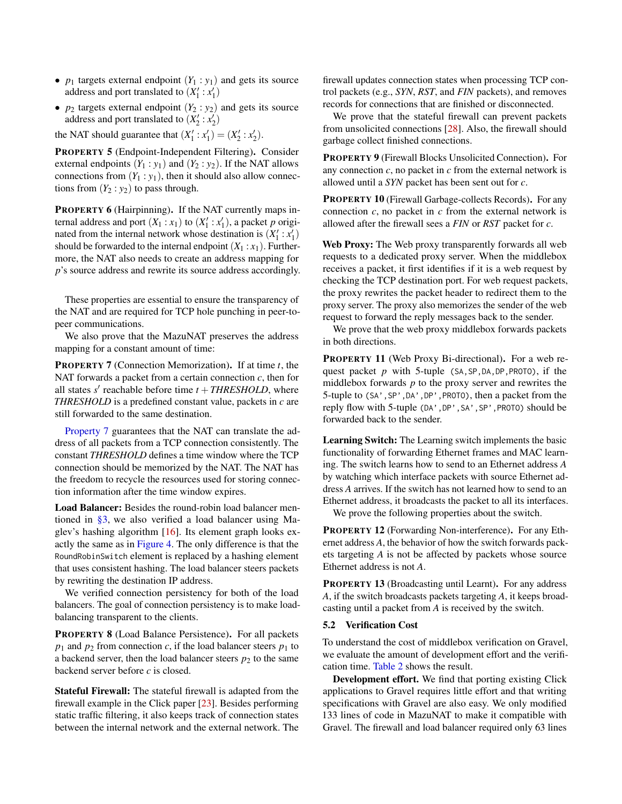- $p_1$  targets external endpoint  $(Y_1 : y_1)$  and gets its source address and port translated to  $(X_1' : x_1')$
- $p_2$  targets external endpoint  $(Y_2 : y_2)$  and gets its source address and port translated to  $(X_2' : x_2')$

the NAT should guarantee that  $(X_1' : x_1') = (X_2' : x_2').$ 

<span id="page-10-1"></span>PROPERTY 5 (Endpoint-Independent Filtering). Consider external endpoints  $(Y_1 : y_1)$  and  $(Y_2 : y_2)$ . If the NAT allows connections from  $(Y_1 : y_1)$ , then it should also allow connections from  $(Y_2 : y_2)$  to pass through.

<span id="page-10-2"></span>PROPERTY 6 (Hairpinning). If the NAT currently maps internal address and port  $(X_1 : x_1)$  to  $(X'_1 : x'_1)$ , a packet *p* originated from the internal network whose destination is  $(X_1': x_1')$ should be forwarded to the internal endpoint  $(X_1 : x_1)$ . Furthermore, the NAT also needs to create an address mapping for *p*'s source address and rewrite its source address accordingly.

These properties are essential to ensure the transparency of the NAT and are required for TCP hole punching in peer-topeer communications.

We also prove that the MazuNAT preserves the address mapping for a constant amount of time:

<span id="page-10-0"></span>PROPERTY 7 (Connection Memorization). If at time *t*, the NAT forwards a packet from a certain connection *c*, then for all states  $s'$  reachable before time  $t + \text{THRESHOLD}$ , where *THRESHOLD* is a predefined constant value, packets in *c* are still forwarded to the same destination.

[Property 7](#page-10-0) guarantees that the NAT can translate the address of all packets from a TCP connection consistently. The constant *THRESHOLD* defines a time window where the TCP connection should be memorized by the NAT. The NAT has the freedom to recycle the resources used for storing connection information after the time window expires.

Load Balancer: Besides the round-robin load balancer mentioned in [§3,](#page-4-3) we also verified a load balancer using Maglev's hashing algorithm [\[16\]](#page-13-7). Its element graph looks exactly the same as in [Figure 4.](#page-5-0) The only difference is that the RoundRobinSwitch element is replaced by a hashing element that uses consistent hashing. The load balancer steers packets by rewriting the destination IP address.

We verified connection persistency for both of the load balancers. The goal of connection persistency is to make loadbalancing transparent to the clients.

PROPERTY 8 (Load Balance Persistence). For all packets  $p_1$  and  $p_2$  from connection *c*, if the load balancer steers  $p_1$  to a backend server, then the load balancer steers  $p_2$  to the same backend server before *c* is closed.

Stateful Firewall: The stateful firewall is adapted from the firewall example in the Click paper [\[23\]](#page-13-3). Besides performing static traffic filtering, it also keeps track of connection states between the internal network and the external network. The

firewall updates connection states when processing TCP control packets (e.g., *SYN*, *RST*, and *FIN* packets), and removes records for connections that are finished or disconnected.

We prove that the stateful firewall can prevent packets from unsolicited connections [\[28\]](#page-14-8). Also, the firewall should garbage collect finished connections.

PROPERTY 9 (Firewall Blocks Unsolicited Connection). For any connection *c*, no packet in *c* from the external network is allowed until a *SYN* packet has been sent out for *c*.

PROPERTY 10 (Firewall Garbage-collects Records). For any connection *c*, no packet in *c* from the external network is allowed after the firewall sees a *FIN* or *RST* packet for *c*.

Web Proxy: The Web proxy transparently forwards all web requests to a dedicated proxy server. When the middlebox receives a packet, it first identifies if it is a web request by checking the TCP destination port. For web request packets, the proxy rewrites the packet header to redirect them to the proxy server. The proxy also memorizes the sender of the web request to forward the reply messages back to the sender.

We prove that the web proxy middlebox forwards packets in both directions.

PROPERTY 11 (Web Proxy Bi-directional). For a web request packet *p* with 5-tuple (SA,SP,DA,DP,PROTO), if the middlebox forwards *p* to the proxy server and rewrites the 5-tuple to (SA',SP',DA',DP',PROTO), then a packet from the reply flow with 5-tuple (DA',DP',SA',SP',PROTO) should be forwarded back to the sender.

Learning Switch: The Learning switch implements the basic functionality of forwarding Ethernet frames and MAC learning. The switch learns how to send to an Ethernet address *A* by watching which interface packets with source Ethernet address *A* arrives. If the switch has not learned how to send to an Ethernet address, it broadcasts the packet to all its interfaces.

We prove the following properties about the switch.

PROPERTY 12 (Forwarding Non-interference). For any Ethernet address *A*, the behavior of how the switch forwards packets targeting *A* is not be affected by packets whose source Ethernet address is not *A*.

PROPERTY 13 (Broadcasting until Learnt). For any address *A*, if the switch broadcasts packets targeting *A*, it keeps broadcasting until a packet from *A* is received by the switch.

### 5.2 Verification Cost

To understand the cost of middlebox verification on Gravel, we evaluate the amount of development effort and the verification time. [Table 2](#page-9-2) shows the result.

Development effort. We find that porting existing Click applications to Gravel requires little effort and that writing specifications with Gravel are also easy. We only modified 133 lines of code in MazuNAT to make it compatible with Gravel. The firewall and load balancer required only 63 lines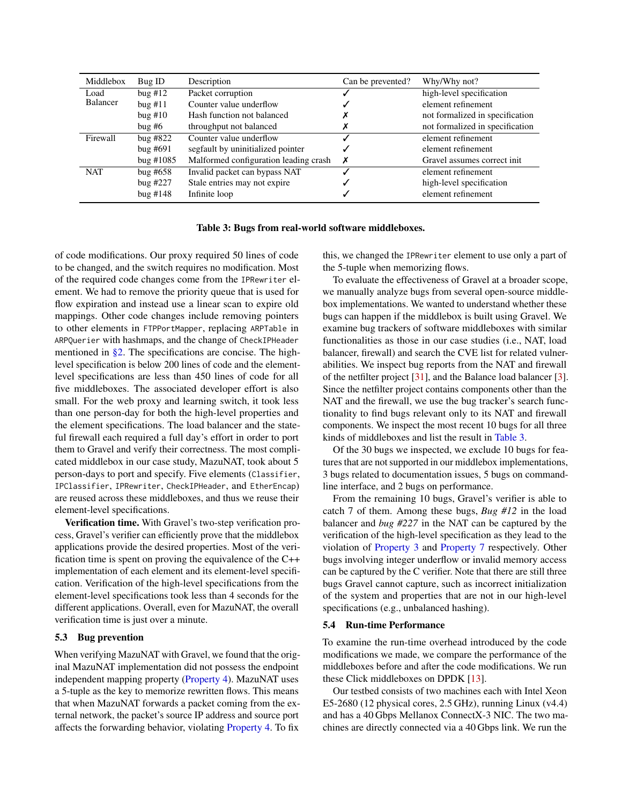<span id="page-11-0"></span>

| Middlebox  | Bug ID       | Description                           | Can be prevented? | Why/Why not?                    |
|------------|--------------|---------------------------------------|-------------------|---------------------------------|
| Load       | bug #12      | Packet corruption                     |                   | high-level specification        |
| Balancer   | bug#11       | Counter value underflow               |                   | element refinement              |
|            | buq #10      | Hash function not balanced            |                   | not formalized in specification |
|            | bug #6       | throughput not balanced               |                   | not formalized in specification |
| Firewall   | bug $#822$   | Counter value underflow               |                   | element refinement              |
|            | $b$ ug #691  | segfault by uninitialized pointer     |                   | element refinement              |
|            | bug $\#1085$ | Malformed configuration leading crash |                   | Gravel assumes correct init     |
| <b>NAT</b> | bug $#658$   | Invalid packet can bypass NAT         |                   | element refinement              |
|            | bug $#227$   | Stale entries may not expire          |                   | high-level specification        |
|            | bug #148     | Infinite loop                         |                   | element refinement              |

#### Table 3: Bugs from real-world software middleboxes.

of code modifications. Our proxy required 50 lines of code to be changed, and the switch requires no modification. Most of the required code changes come from the IPRewriter element. We had to remove the priority queue that is used for flow expiration and instead use a linear scan to expire old mappings. Other code changes include removing pointers to other elements in FTPPortMapper, replacing ARPTable in ARPQuerier with hashmaps, and the change of CheckIPHeader mentioned in  $\S$ 2. The specifications are concise. The highlevel specification is below 200 lines of code and the elementlevel specifications are less than 450 lines of code for all five middleboxes. The associated developer effort is also small. For the web proxy and learning switch, it took less than one person-day for both the high-level properties and the element specifications. The load balancer and the stateful firewall each required a full day's effort in order to port them to Gravel and verify their correctness. The most complicated middlebox in our case study, MazuNAT, took about 5 person-days to port and specify. Five elements (Classifier, IPClassifier, IPRewriter, CheckIPHeader, and EtherEncap) are reused across these middleboxes, and thus we reuse their element-level specifications.

Verification time. With Gravel's two-step verification process, Gravel's verifier can efficiently prove that the middlebox applications provide the desired properties. Most of the verification time is spent on proving the equivalence of the C++ implementation of each element and its element-level specification. Verification of the high-level specifications from the element-level specifications took less than 4 seconds for the different applications. Overall, even for MazuNAT, the overall verification time is just over a minute.

### 5.3 Bug prevention

When verifying MazuNAT with Gravel, we found that the original MazuNAT implementation did not possess the endpoint independent mapping property [\(Property 4\)](#page-9-3). MazuNAT uses a 5-tuple as the key to memorize rewritten flows. This means that when MazuNAT forwards a packet coming from the external network, the packet's source IP address and source port affects the forwarding behavior, violating [Property 4.](#page-9-3) To fix

this, we changed the IPRewriter element to use only a part of the 5-tuple when memorizing flows.

To evaluate the effectiveness of Gravel at a broader scope, we manually analyze bugs from several open-source middlebox implementations. We wanted to understand whether these bugs can happen if the middlebox is built using Gravel. We examine bug trackers of software middleboxes with similar functionalities as those in our case studies (i.e., NAT, load balancer, firewall) and search the CVE list for related vulnerabilities. We inspect bug reports from the NAT and firewall of the netfilter project [\[31\]](#page-14-9), and the Balance load balancer [\[3\]](#page-13-11). Since the netfilter project contains components other than the NAT and the firewall, we use the bug tracker's search functionality to find bugs relevant only to its NAT and firewall components. We inspect the most recent 10 bugs for all three kinds of middleboxes and list the result in [Table 3.](#page-11-0)

Of the 30 bugs we inspected, we exclude 10 bugs for features that are not supported in our middlebox implementations, 3 bugs related to documentation issues, 5 bugs on commandline interface, and 2 bugs on performance.

From the remaining 10 bugs, Gravel's verifier is able to catch 7 of them. Among these bugs, *Bug #12* in the load balancer and *bug #227* in the NAT can be captured by the verification of the high-level specification as they lead to the violation of [Property 3](#page-9-4) and [Property 7](#page-10-0) respectively. Other bugs involving integer underflow or invalid memory access can be captured by the C verifier. Note that there are still three bugs Gravel cannot capture, such as incorrect initialization of the system and properties that are not in our high-level specifications (e.g., unbalanced hashing).

#### 5.4 Run-time Performance

To examine the run-time overhead introduced by the code modifications we made, we compare the performance of the middleboxes before and after the code modifications. We run these Click middleboxes on DPDK [\[13\]](#page-13-12).

Our testbed consists of two machines each with Intel Xeon E5-2680 (12 physical cores, 2.5 GHz), running Linux (v4.4) and has a 40 Gbps Mellanox ConnectX-3 NIC. The two machines are directly connected via a 40 Gbps link. We run the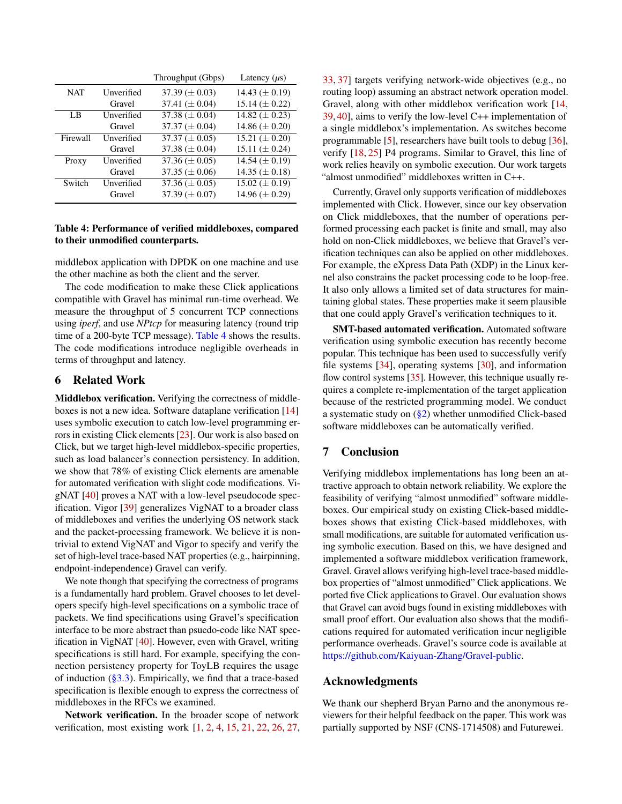<span id="page-12-0"></span>

|            |            | Throughput (Gbps)    | Latency $(\mu s)$    |
|------------|------------|----------------------|----------------------|
| <b>NAT</b> | Unverified | $37.39 \ (\pm 0.03)$ | 14.43 $(\pm 0.19)$   |
|            | Gravel     | 37.41 ( $\pm$ 0.04)  | 15.14 $(\pm 0.22)$   |
| LB.        | Unverified | 37.38 ( $\pm$ 0.04)  | 14.82 ( $\pm$ 0.23)  |
|            | Gravel     | 37.37 ( $\pm$ 0.04)  | 14.86 $(\pm 0.20)$   |
| Firewall   | Unverified | 37.37 ( $\pm$ 0.05)  | 15.21 ( $\pm$ 0.20)  |
|            | Gravel     | 37.38 ( $\pm$ 0.04)  | 15.11 $(\pm 0.24)$   |
| Proxy      | Unverified | 37.36 $(\pm 0.05)$   | 14.54 $(\pm 0.19)$   |
|            | Gravel     | 37.35 ( $\pm$ 0.06)  | $14.35 \ (\pm 0.18)$ |
| Switch     | Unverified | 37.36 $(\pm 0.05)$   | $15.02 \ (\pm 0.19)$ |
|            | Gravel     | 37.39 $(\pm 0.07)$   | 14.96 $(\pm 0.29)$   |

### Table 4: Performance of verified middleboxes, compared to their unmodified counterparts.

middlebox application with DPDK on one machine and use the other machine as both the client and the server.

The code modification to make these Click applications compatible with Gravel has minimal run-time overhead. We measure the throughput of 5 concurrent TCP connections using *iperf*, and use *NPtcp* for measuring latency (round trip time of a 200-byte TCP message). [Table 4](#page-12-0) shows the results. The code modifications introduce negligible overheads in terms of throughput and latency.

# 6 Related Work

Middlebox verification. Verifying the correctness of middleboxes is not a new idea. Software dataplane verification [\[14\]](#page-13-2) uses symbolic execution to catch low-level programming errors in existing Click elements [\[23\]](#page-13-3). Our work is also based on Click, but we target high-level middlebox-specific properties, such as load balancer's connection persistency. In addition, we show that 78% of existing Click elements are amenable for automated verification with slight code modifications. VigNAT [\[40\]](#page-14-0) proves a NAT with a low-level pseudocode specification. Vigor [\[39\]](#page-14-1) generalizes VigNAT to a broader class of middleboxes and verifies the underlying OS network stack and the packet-processing framework. We believe it is nontrivial to extend VigNAT and Vigor to specify and verify the set of high-level trace-based NAT properties (e.g., hairpinning, endpoint-independence) Gravel can verify.

We note though that specifying the correctness of programs is a fundamentally hard problem. Gravel chooses to let developers specify high-level specifications on a symbolic trace of packets. We find specifications using Gravel's specification interface to be more abstract than psuedo-code like NAT specification in VigNAT [\[40\]](#page-14-0). However, even with Gravel, writing specifications is still hard. For example, specifying the connection persistency property for ToyLB requires the usage of induction  $(\S3.3)$ . Empirically, we find that a trace-based specification is flexible enough to express the correctness of middleboxes in the RFCs we examined.

Network verification. In the broader scope of network verification, most existing work [\[1,](#page-13-13) [2,](#page-13-14) [4,](#page-13-15) [15,](#page-13-16) [21,](#page-13-17) [22,](#page-13-18) [26,](#page-13-19) [27,](#page-13-20)

[33,](#page-14-10) [37\]](#page-14-11) targets verifying network-wide objectives (e.g., no routing loop) assuming an abstract network operation model. Gravel, along with other middlebox verification work [\[14,](#page-13-2) [39,](#page-14-1) [40\]](#page-14-0), aims to verify the low-level C++ implementation of a single middlebox's implementation. As switches become programmable [\[5\]](#page-13-21), researchers have built tools to debug [\[36\]](#page-14-12), verify [\[18,](#page-13-22) [25\]](#page-13-23) P4 programs. Similar to Gravel, this line of work relies heavily on symbolic execution. Our work targets "almost unmodified" middleboxes written in C++.

Currently, Gravel only supports verification of middleboxes implemented with Click. However, since our key observation on Click middleboxes, that the number of operations performed processing each packet is finite and small, may also hold on non-Click middleboxes, we believe that Gravel's verification techniques can also be applied on other middleboxes. For example, the eXpress Data Path (XDP) in the Linux kernel also constrains the packet processing code to be loop-free. It also only allows a limited set of data structures for maintaining global states. These properties make it seem plausible that one could apply Gravel's verification techniques to it.

SMT-based automated verification. Automated software verification using symbolic execution has recently become popular. This technique has been used to successfully verify file systems [\[34\]](#page-14-4), operating systems [\[30\]](#page-14-3), and information flow control systems [\[35\]](#page-14-13). However, this technique usually requires a complete re-implementation of the target application because of the restricted programming model. We conduct a systematic study on [\(§2\)](#page-1-2) whether unmodified Click-based software middleboxes can be automatically verified.

# 7 Conclusion

Verifying middlebox implementations has long been an attractive approach to obtain network reliability. We explore the feasibility of verifying "almost unmodified" software middleboxes. Our empirical study on existing Click-based middleboxes shows that existing Click-based middleboxes, with small modifications, are suitable for automated verification using symbolic execution. Based on this, we have designed and implemented a software middlebox verification framework, Gravel. Gravel allows verifying high-level trace-based middlebox properties of "almost unmodified" Click applications. We ported five Click applications to Gravel. Our evaluation shows that Gravel can avoid bugs found in existing middleboxes with small proof effort. Our evaluation also shows that the modifications required for automated verification incur negligible performance overheads. Gravel's source code is available at [https://github.com/Kaiyuan-Zhang/Gravel-public.](https://github.com/Kaiyuan-Zhang/Gravel-public)

## Acknowledgments

We thank our shepherd Bryan Parno and the anonymous reviewers for their helpful feedback on the paper. This work was partially supported by NSF (CNS-1714508) and Futurewei.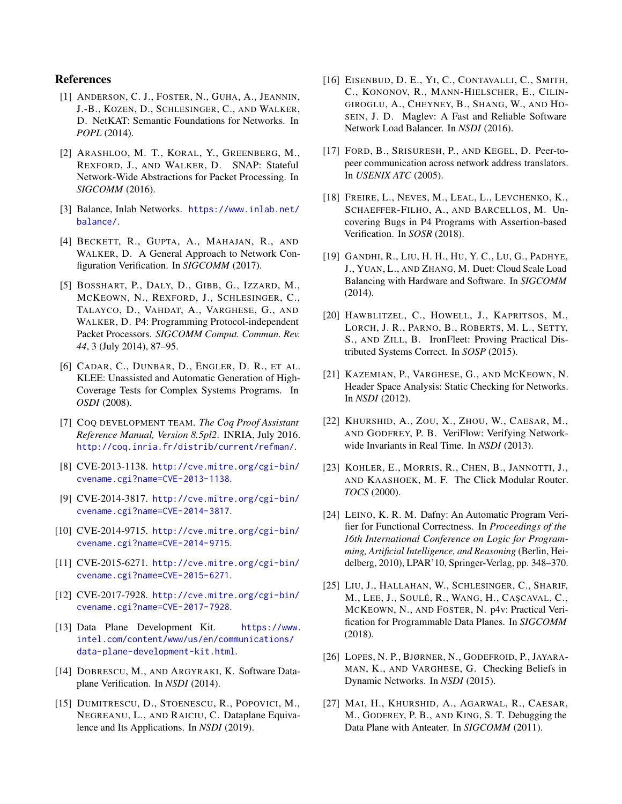# References

- <span id="page-13-13"></span>[1] ANDERSON, C. J., FOSTER, N., GUHA, A., JEANNIN, J.-B., KOZEN, D., SCHLESINGER, C., AND WALKER, D. NetKAT: Semantic Foundations for Networks. In *POPL* (2014).
- <span id="page-13-14"></span>[2] ARASHLOO, M. T., KORAL, Y., GREENBERG, M., REXFORD, J., AND WALKER, D. SNAP: Stateful Network-Wide Abstractions for Packet Processing. In *SIGCOMM* (2016).
- <span id="page-13-11"></span>[3] Balance, Inlab Networks. [https://www.inlab.net/](https://www.inlab.net/balance/) [balance/](https://www.inlab.net/balance/).
- <span id="page-13-15"></span>[4] BECKETT, R., GUPTA, A., MAHAJAN, R., AND WALKER, D. A General Approach to Network Configuration Verification. In *SIGCOMM* (2017).
- <span id="page-13-21"></span>[5] BOSSHART, P., DALY, D., GIBB, G., IZZARD, M., MCKEOWN, N., REXFORD, J., SCHLESINGER, C., TALAYCO, D., VAHDAT, A., VARGHESE, G., AND WALKER, D. P4: Programming Protocol-independent Packet Processors. *SIGCOMM Comput. Commun. Rev. 44*, 3 (July 2014), 87–95.
- <span id="page-13-6"></span>[6] CADAR, C., DUNBAR, D., ENGLER, D. R., ET AL. KLEE: Unassisted and Automatic Generation of High-Coverage Tests for Complex Systems Programs. In *OSDI* (2008).
- <span id="page-13-4"></span>[7] COQ DEVELOPMENT TEAM. *The Coq Proof Assistant Reference Manual, Version 8.5pl2*. INRIA, July 2016. <http://coq.inria.fr/distrib/current/refman/>.
- <span id="page-13-0"></span>[8] CVE-2013-1138. [http://cve.mitre.org/cgi-bin/](http://cve.mitre.org/cgi-bin/cvename.cgi?name=CVE-2013-1138) [cvename.cgi?name=CVE-2013-1138](http://cve.mitre.org/cgi-bin/cvename.cgi?name=CVE-2013-1138).
- [9] CVE-2014-3817. [http://cve.mitre.org/cgi-bin/](http://cve.mitre.org/cgi-bin/cvename.cgi?name=CVE-2014-3817) [cvename.cgi?name=CVE-2014-3817](http://cve.mitre.org/cgi-bin/cvename.cgi?name=CVE-2014-3817).
- [10] CVE-2014-9715. [http://cve.mitre.org/cgi-bin/](http://cve.mitre.org/cgi-bin/cvename.cgi?name=CVE-2014-9715) [cvename.cgi?name=CVE-2014-9715](http://cve.mitre.org/cgi-bin/cvename.cgi?name=CVE-2014-9715).
- [11] CVE-2015-6271. [http://cve.mitre.org/cgi-bin/](http://cve.mitre.org/cgi-bin/cvename.cgi?name=CVE-2015-6271) [cvename.cgi?name=CVE-2015-6271](http://cve.mitre.org/cgi-bin/cvename.cgi?name=CVE-2015-6271).
- <span id="page-13-1"></span>[12] CVE-2017-7928. [http://cve.mitre.org/cgi-bin/](http://cve.mitre.org/cgi-bin/cvename.cgi?name=CVE-2017-7928) [cvename.cgi?name=CVE-2017-7928](http://cve.mitre.org/cgi-bin/cvename.cgi?name=CVE-2017-7928).
- <span id="page-13-12"></span>[13] Data Plane Development Kit. [https://www.](https://www.intel.com/content/www/us/en/communications/data-plane-development-kit.html) [intel.com/content/www/us/en/communications/](https://www.intel.com/content/www/us/en/communications/data-plane-development-kit.html) [data-plane-development-kit.html](https://www.intel.com/content/www/us/en/communications/data-plane-development-kit.html).
- <span id="page-13-2"></span>[14] DOBRESCU, M., AND ARGYRAKI, K. Software Dataplane Verification. In *NSDI* (2014).
- <span id="page-13-16"></span>[15] DUMITRESCU, D., STOENESCU, R., POPOVICI, M., NEGREANU, L., AND RAICIU, C. Dataplane Equivalence and Its Applications. In *NSDI* (2019).
- <span id="page-13-7"></span>[16] EISENBUD, D. E., YI, C., CONTAVALLI, C., SMITH, C., KONONOV, R., MANN-HIELSCHER, E., CILIN-GIROGLU, A., CHEYNEY, B., SHANG, W., AND HO-SEIN, J. D. Maglev: A Fast and Reliable Software Network Load Balancer. In *NSDI* (2016).
- <span id="page-13-10"></span>[17] FORD, B., SRISURESH, P., AND KEGEL, D. Peer-topeer communication across network address translators. In *USENIX ATC* (2005).
- <span id="page-13-22"></span>[18] FREIRE, L., NEVES, M., LEAL, L., LEVCHENKO, K., SCHAEFFER-FILHO, A., AND BARCELLOS, M. Uncovering Bugs in P4 Programs with Assertion-based Verification. In *SOSR* (2018).
- <span id="page-13-8"></span>[19] GANDHI, R., LIU, H. H., HU, Y. C., LU, G., PADHYE, J., YUAN, L., AND ZHANG, M. Duet: Cloud Scale Load Balancing with Hardware and Software. In *SIGCOMM* (2014).
- <span id="page-13-9"></span>[20] HAWBLITZEL, C., HOWELL, J., KAPRITSOS, M., LORCH, J. R., PARNO, B., ROBERTS, M. L., SETTY, S., AND ZILL, B. IronFleet: Proving Practical Distributed Systems Correct. In *SOSP* (2015).
- <span id="page-13-17"></span>[21] KAZEMIAN, P., VARGHESE, G., AND MCKEOWN, N. Header Space Analysis: Static Checking for Networks. In *NSDI* (2012).
- <span id="page-13-18"></span>[22] KHURSHID, A., ZOU, X., ZHOU, W., CAESAR, M., AND GODFREY, P. B. VeriFlow: Verifying Networkwide Invariants in Real Time. In *NSDI* (2013).
- <span id="page-13-3"></span>[23] KOHLER, E., MORRIS, R., CHEN, B., JANNOTTI, J., AND KAASHOEK, M. F. The Click Modular Router. *TOCS* (2000).
- <span id="page-13-5"></span>[24] LEINO, K. R. M. Dafny: An Automatic Program Verifier for Functional Correctness. In *Proceedings of the 16th International Conference on Logic for Programming, Artificial Intelligence, and Reasoning* (Berlin, Heidelberg, 2010), LPAR'10, Springer-Verlag, pp. 348–370.
- <span id="page-13-23"></span>[25] LIU, J., HALLAHAN, W., SCHLESINGER, C., SHARIF, M., LEE, J., SOULÉ, R., WANG, H., CAŞCAVAL, C., MCKEOWN, N., AND FOSTER, N. p4v: Practical Verification for Programmable Data Planes. In *SIGCOMM* (2018).
- <span id="page-13-19"></span>[26] LOPES, N. P., BJØRNER, N., GODEFROID, P., JAYARA-MAN, K., AND VARGHESE, G. Checking Beliefs in Dynamic Networks. In *NSDI* (2015).
- <span id="page-13-20"></span>[27] MAI, H., KHURSHID, A., AGARWAL, R., CAESAR, M., GODFREY, P. B., AND KING, S. T. Debugging the Data Plane with Anteater. In *SIGCOMM* (2011).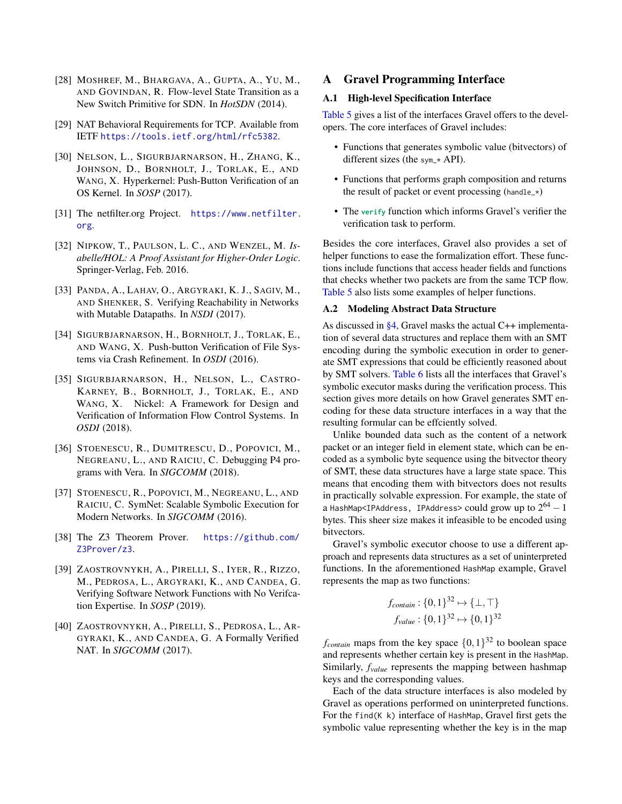- <span id="page-14-8"></span>[28] MOSHREF, M., BHARGAVA, A., GUPTA, A., YU, M., AND GOVINDAN, R. Flow-level State Transition as a New Switch Primitive for SDN. In *HotSDN* (2014).
- <span id="page-14-2"></span>[29] NAT Behavioral Requirements for TCP. Available from IETF <https://tools.ietf.org/html/rfc5382>.
- <span id="page-14-3"></span>[30] NELSON, L., SIGURBJARNARSON, H., ZHANG, K., JOHNSON, D., BORNHOLT, J., TORLAK, E., AND WANG, X. Hyperkernel: Push-Button Verification of an OS Kernel. In *SOSP* (2017).
- <span id="page-14-9"></span>[31] The netfilter.org Project. [https://www.netfilter.](https://www.netfilter.org) [org](https://www.netfilter.org).
- <span id="page-14-6"></span>[32] NIPKOW, T., PAULSON, L. C., AND WENZEL, M. *Isabelle/HOL: A Proof Assistant for Higher-Order Logic*. Springer-Verlag, Feb. 2016.
- <span id="page-14-10"></span>[33] PANDA, A., LAHAV, O., ARGYRAKI, K. J., SAGIV, M., AND SHENKER, S. Verifying Reachability in Networks with Mutable Datapaths. In *NSDI* (2017).
- <span id="page-14-4"></span>[34] SIGURBJARNARSON, H., BORNHOLT, J., TORLAK, E., AND WANG, X. Push-button Verification of File Systems via Crash Refinement. In *OSDI* (2016).
- <span id="page-14-13"></span>[35] SIGURBJARNARSON, H., NELSON, L., CASTRO-KARNEY, B., BORNHOLT, J., TORLAK, E., AND WANG, X. Nickel: A Framework for Design and Verification of Information Flow Control Systems. In *OSDI* (2018).
- <span id="page-14-12"></span>[36] STOENESCU, R., DUMITRESCU, D., POPOVICI, M., NEGREANU, L., AND RAICIU, C. Debugging P4 programs with Vera. In *SIGCOMM* (2018).
- <span id="page-14-11"></span>[37] STOENESCU, R., POPOVICI, M., NEGREANU, L., AND RAICIU, C. SymNet: Scalable Symbolic Execution for Modern Networks. In *SIGCOMM* (2016).
- <span id="page-14-5"></span>[38] The Z3 Theorem Prover. [https://github.com/](https://github.com/Z3Prover/z3) [Z3Prover/z3](https://github.com/Z3Prover/z3).
- <span id="page-14-1"></span>[39] ZAOSTROVNYKH, A., PIRELLI, S., IYER, R., RIZZO, M., PEDROSA, L., ARGYRAKI, K., AND CANDEA, G. Verifying Software Network Functions with No Verifcation Expertise. In *SOSP* (2019).
- <span id="page-14-0"></span>[40] ZAOSTROVNYKH, A., PIRELLI, S., PEDROSA, L., AR-GYRAKI, K., AND CANDEA, G. A Formally Verified NAT. In *SIGCOMM* (2017).

# <span id="page-14-7"></span>A Gravel Programming Interface

### A.1 High-level Specification Interface

[Table 5](#page-15-1) gives a list of the interfaces Gravel offers to the developers. The core interfaces of Gravel includes:

- Functions that generates symbolic value (bitvectors) of different sizes (the sym\_\* API).
- Functions that performs graph composition and returns the result of packet or event processing (handle\_ $\star$ )
- The **verify** function which informs Gravel's verifier the verification task to perform.

Besides the core interfaces, Gravel also provides a set of helper functions to ease the formalization effort. These functions include functions that access header fields and functions that checks whether two packets are from the same TCP flow. [Table 5](#page-15-1) also lists some examples of helper functions.

#### A.2 Modeling Abstract Data Structure

As discussed in [§4,](#page-8-0) Gravel masks the actual C++ implementation of several data structures and replace them with an SMT encoding during the symbolic execution in order to generate SMT expressions that could be efficiently reasoned about by SMT solvers. [Table 6](#page-17-0) lists all the interfaces that Gravel's symbolic executor masks during the verification process. This section gives more details on how Gravel generates SMT encoding for these data structure interfaces in a way that the resulting formular can be effciently solved.

Unlike bounded data such as the content of a network packet or an integer field in element state, which can be encoded as a symbolic byte sequence using the bitvector theory of SMT, these data structures have a large state space. This means that encoding them with bitvectors does not results in practically solvable expression. For example, the state of a HashMap<IPAddress, IPAddress>  ${\rm could~grow~up}$  to  $2^{64}-1$ bytes. This sheer size makes it infeasible to be encoded using bitvectors.

Gravel's symbolic executor choose to use a different approach and represents data structures as a set of uninterpreted functions. In the aforementioned HashMap example, Gravel represents the map as two functions:

$$
f_{\text{contain}}: \{0, 1\}^{32} \mapsto \{\perp, \top\}
$$

$$
f_{\text{value}}: \{0, 1\}^{32} \mapsto \{0, 1\}^{32}
$$

 $f_{\text{contain}}$  maps from the key space  $\{0,1\}^{32}$  to boolean space and represents whether certain key is present in the HashMap. Similarly, *fvalue* represents the mapping between hashmap keys and the corresponding values.

Each of the data structure interfaces is also modeled by Gravel as operations performed on uninterpreted functions. For the find(K k) interface of HashMap, Gravel first gets the symbolic value representing whether the key is in the map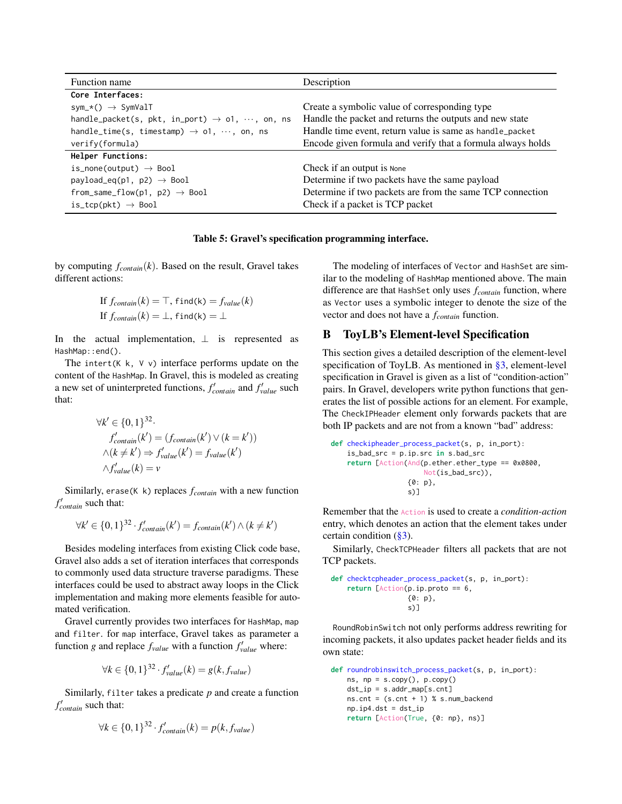<span id="page-15-1"></span>

| Function name                                                      | Description                                                 |
|--------------------------------------------------------------------|-------------------------------------------------------------|
| Core Interfaces:                                                   |                                                             |
| $sym_\pm\langle) \rightarrow SymValT$                              | Create a symbolic value of corresponding type               |
| handle_packet(s, pkt, in_port) $\rightarrow$ 01, $\cdots$ , on, ns | Handle the packet and returns the outputs and new state     |
| handle_time(s, timestamp) $\rightarrow$ 01, $\cdots$ , on, ns      | Handle time event, return value is same as handle_packet    |
| verify(formula)                                                    | Encode given formula and verify that a formula always holds |
| Helper Functions:                                                  |                                                             |
| is_none(output) $\rightarrow$ Bool                                 | Check if an output is None                                  |
| payload_eq(p1, p2) $\rightarrow$ Bool                              | Determine if two packets have the same payload              |
| from_same_flow(p1, p2) $\rightarrow$ Bool                          | Determine if two packets are from the same TCP connection   |
| is_tcp(pkt) $\rightarrow$ Bool                                     | Check if a packet is TCP packet                             |

#### Table 5: Gravel's specification programming interface.

by computing *fcontain*(*k*). Based on the result, Gravel takes different actions:

If 
$$
f_{\text{contain}}(k) = \top
$$
, find(k) =  $f_{\text{value}}(k)$   
If  $f_{\text{contain}}(k) = \bot$ , find(k) =  $\bot$ 

In the actual implementation,  $\perp$  is represented as HashMap::end().

The intert( $K$  k,  $V$  v) interface performs update on the content of the HashMap. In Gravel, this is modeled as creating a new set of uninterpreted functions,  $f'_{contain}$  and  $f'_{value}$  such that:

$$
\forall k' \in \{0, 1\}^{32}.
$$
  
\n
$$
f'_{contain}(k') = (f_{contain}(k') \vee (k = k'))
$$
  
\n
$$
\wedge (k \neq k') \Rightarrow f'_{value}(k') = f_{value}(k')
$$
  
\n
$$
\wedge f'_{value}(k) = v
$$

Similarly, erase(K k) replaces *fcontain* with a new function *f* 0 *contain* such that:

$$
\forall k' \in \{0,1\}^{32} \cdot f'_{contain}(k') = f_{contain}(k') \wedge (k \neq k')
$$

Besides modeling interfaces from existing Click code base, Gravel also adds a set of iteration interfaces that corresponds to commonly used data structure traverse paradigms. These interfaces could be used to abstract away loops in the Click implementation and making more elements feasible for automated verification.

Gravel currently provides two interfaces for HashMap, map and filter. for map interface, Gravel takes as parameter a function *g* and replace  $f_{value}$  with a function  $f'_{value}$  where:

$$
\forall k \in \{0,1\}^{32} \cdot f_{value}'(k) = g(k, f_{value})
$$

Similarly, filter takes a predicate *p* and create a function *f* 0 *contain* such that:

$$
\forall k \in \{0,1\}^{32} \cdot f'_{contain}(k) = p(k, f_{value})
$$

The modeling of interfaces of Vector and HashSet are similar to the modeling of HashMap mentioned above. The main difference are that HashSet only uses *fcontain* function, where as Vector uses a symbolic integer to denote the size of the vector and does not have a *fcontain* function.

# <span id="page-15-0"></span>B ToyLB's Element-level Specification

This section gives a detailed description of the element-level specification of ToyLB. As mentioned in [§3,](#page-4-3) element-level specification in Gravel is given as a list of "condition-action" pairs. In Gravel, developers write python functions that generates the list of possible actions for an element. For example, The CheckIPHeader element only forwards packets that are both IP packets and are not from a known "bad" address:

**def** checkipheader\_process\_packet(s, p, in\_port): is\_bad\_src = p.ip.src **in** s.bad\_src **return** [Action(And(p.ether.ether\_type == 0x0800, Not(is\_bad\_src)), {0: p}, s)]

Remember that the Action is used to create a *condition-action* entry, which denotes an action that the element takes under certain condition  $(\S 3)$ .

Similarly, CheckTCPHeader filters all packets that are not TCP packets.

**def** checktcpheader\_process\_packet(s, p, in\_port): **return** [Action(p.ip.proto == 6, {0: p}, s)]

RoundRobinSwitch not only performs address rewriting for incoming packets, it also updates packet header fields and its own state:

```
def roundrobinswitch_process_packet(s, p, in_port):
   ns, np = s.copy(), p.copy()dst\_ip = s.addr\_map[s,cnt]ns.cnt = (s.cnt + 1) % s.num_backendnp.ip4.dst = dst_ip
   return [Action(True, {0: np}, ns)]
```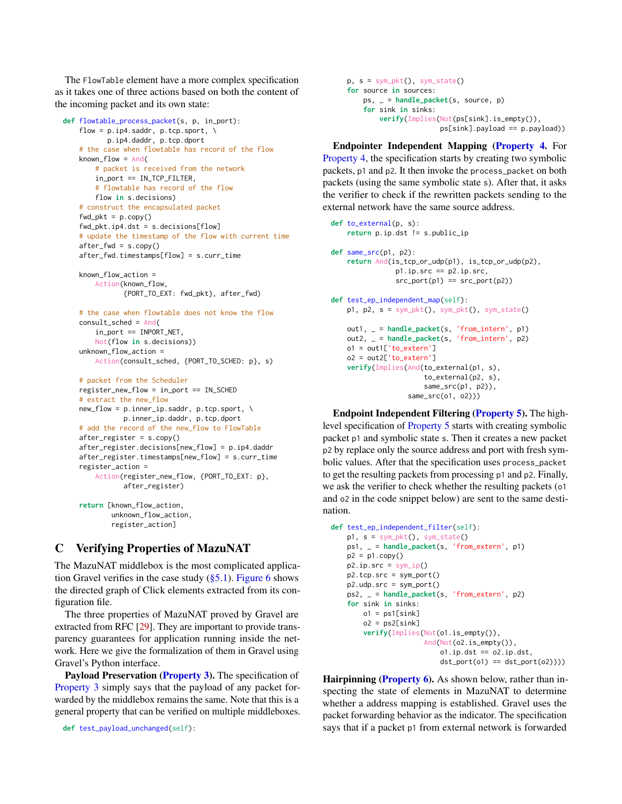The FlowTable element have a more complex specification as it takes one of three actions based on both the content of the incoming packet and its own state:

```
def flowtable_process_packet(s, p, in_port):
    flow = p.ip4.saddr, p.tcp.sport, \
          p.ip4.daddr, p.tcp.dport
    # the case when flowtable has record of the flow
    known_flow = And(# packet is received from the network
        in_port == IN_TCP_FILTER,
        # flowtable has record of the flow
       flow in s.decisions)
    # construct the encapsulated packet
    fwd_pkt = p.copy()fwd_pkt.ip4.dst = s.decisions[flow]
    # update the timestamp of the flow with current time
    after_fwd = s.copy()
   after_fwd.timestamps[flow] = s.curr_time
```

```
known_flow_action =
    Action(known_flow,
           {PORT_TO_EXT: fwd_pkt}, after_fwd)
```

```
# the case when flowtable does not know the flow
consult_sched = And(
   in_port == INPORT_NET,
   Not(flow in s.decisions))
unknown_flow_action =
    Action(consult_sched, {PORT_TO_SCHED: p}, s)
```

```
# packet from the Scheduler
register_new_flow = in_port == IN_SCHED
# extract the new_flow
new_flow = p.inner_ip.saddr, p.tcp.sport, \
          p.inner_ip.daddr, p.tcp.dport
# add the record of the new_flow to FlowTable
after_register = s.copy()
after_register.decisions[new_flow] = p.ip4.daddr
after_register.timestamps[new_flow] = s.curr_time
register_action =
    Action(register_new_flow, {PORT_TO_EXT: p},
          after_register)
return [known_flow_action,
        unknown_flow_action,
```

```
register_action]
```
# <span id="page-16-0"></span>C Verifying Properties of MazuNAT

The MazuNAT middlebox is the most complicated application Gravel verifies in the case study  $(\S 5.1)$ . [Figure 6](#page-18-0) shows the directed graph of Click elements extracted from its configuration file.

The three properties of MazuNAT proved by Gravel are extracted from RFC [\[29\]](#page-14-2). They are important to provide transparency guarantees for application running inside the network. Here we give the formalization of them in Gravel using Gravel's Python interface.

Payload Preservation [\(Property 3\)](#page-9-4). The specification of [Property 3](#page-9-4) simply says that the payload of any packet forwarded by the middlebox remains the same. Note that this is a general property that can be verified on multiple middleboxes.

**def** test\_payload\_unchanged(self):

```
p, s = sym_pkt(), sym_state()
for source in sources:
    ps, _ = handle_packet(s, source, p)
    for sink in sinks:
        verify(Implies(Not(ps[sink].is_empty()),
                       ps[sink].payload == p.payload))
```
Endpointer Independent Mapping [\(Property 4.](#page-9-3) For [Property 4,](#page-9-3) the specification starts by creating two symbolic packets, p1 and p2. It then invoke the process\_packet on both packets (using the same symbolic state s). After that, it asks the verifier to check if the rewritten packets sending to the external network have the same source address.

```
def to_external(p, s):
    return p.ip.dst != s.public_ip
def same_src(p1, p2):
    return And(is_tcp_or_udp(p1), is_tcp_or_udp(p2),
                p1.ip.src == p2.ip.src,
                src\_port(p1) == src\_port(p2))def test_ep_independent_map(self):
    p1, p2, s = sym_pkt(), sym_pkt(), sym_state()
    out1, _ = handle_packet(s, 'from_intern', p1)
    out2, _ = handle_packet(s, 'from_intern', p2)
    o1 = out1['to_extern']
   o2 = out2['to_extern']
    verify(Implies(And(to_external(p1, s),
                       to_external(p2, s),
                       same_src(p1, p2)),
                   same_src(o1, o2)))
```
Endpoint Independent Filtering [\(Property 5\)](#page-10-1). The highlevel specification of [Property 5](#page-10-1) starts with creating symbolic packet p1 and symbolic state s. Then it creates a new packet p2 by replace only the source address and port with fresh symbolic values. After that the specification uses process\_packet to get the resulting packets from processing p1 and p2. Finally, we ask the verifier to check whether the resulting packets (o1 and o2 in the code snippet below) are sent to the same destination.

```
def test_ep_independent_filter(self):
   p1, s = sym_pkt(), sym_state()
   ps1, _ = handle_packet(s, 'from_extern', p1)
   p2 = p1.copy()p2.jp.src = sym_ip()p2.tcp.src = sym_port()
   p2.udp.src = sym_port()
   ps2, _ = handle_packet(s, 'from_extern', p2)
   for sink in sinks:
       o1 = ps1[sink]o2 = ps2[sink]verify(Implies(Not(o1.is_empty()),
                      And(Not(o2.is_empty()),
                          ol.ip.dst == ol.ip.dst,
                          dst\_port(o1) == dst\_port(o2))))
```
Hairpinning [\(Property 6\)](#page-10-2). As shown below, rather than inspecting the state of elements in MazuNAT to determine whether a address mapping is established. Gravel uses the packet forwarding behavior as the indicator. The specification says that if a packet p1 from external network is forwarded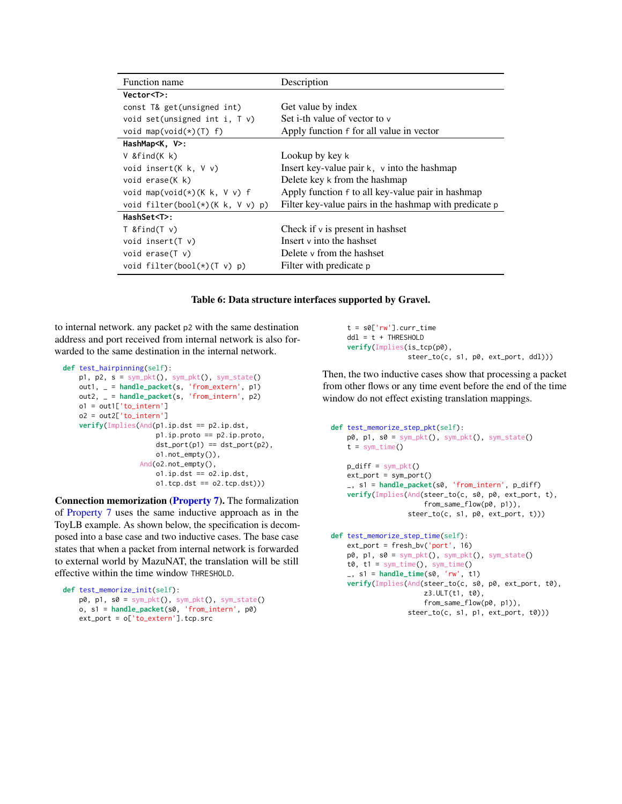<span id="page-17-0"></span>

| Function name                              | Description                                            |
|--------------------------------------------|--------------------------------------------------------|
| Vector <t>:</t>                            |                                                        |
| const T& get(unsigned int)                 | Get value by index                                     |
| void set(unsigned int i, $\overline{v}$ v) | Set i-th value of vector to v                          |
| void map(void(*)(T) f)                     | Apply function f for all value in vector               |
| HashMap <k, v="">:</k,>                    |                                                        |
| V &find(K k)                               | Lookup by key k                                        |
| void insert( $K$ k, $V$ v)                 | Insert key-value pair $k$ , $\nu$ into the hashmap     |
| void erase(K k)                            | Delete key k from the hashmap                          |
| void map(void(*)(K $k, V, v$ ) f           | Apply function f to all key-value pair in hashmap      |
| void filter(bool(*)(K $k$ , V $v$ ) p)     | Filter key-value pairs in the hashmap with predicate p |
| HashSet <t>:</t>                           |                                                        |
| $T & find(T \vee)$                         | Check if $\nu$ is present in hashset                   |
| void insert( $\tau$ v)                     | Insert y into the hashset                              |
| void erase $(T \vee)$                      | Delete y from the hashset                              |
| void filter(bool(*)(T v) $p$ )             | Filter with predicate p                                |

#### Table 6: Data structure interfaces supported by Gravel.

to internal network. any packet p2 with the same destination address and port received from internal network is also forwarded to the same destination in the internal network.

```
def test_hairpinning(self):
    p1, p2, s = sym_pkt(), sym_pkt(), sym_state()
    out1, _ = handle_packet(s, 'from_extern', p1)
    out2, _ = handle_packet(s, 'from_intern', p2)
    o1 = out1['to_intern']
    o2 = out2['to_intern']verify(Implies(And(p1.ip.dst == p2.ip.dst,
                       p1.ip.proto == p2.ip.proto,
                       dst\_port(p1) == dst\_port(p2),
                       o1.not_empty()),
                   And(o2.not_empty(),
                       ol.jp.dst == o2.jp.dst,o1.tcp.dst == o2.tcp.dst))
```
Connection memorization [\(Property 7\)](#page-10-0). The formalization of [Property 7](#page-10-0) uses the same inductive approach as in the ToyLB example. As shown below, the specification is decomposed into a base case and two inductive cases. The base case states that when a packet from internal network is forwarded to external world by MazuNAT, the translation will be still effective within the time window THRESHOLD.

```
def test_memorize_init(self):
   p0, p1, s0 = sym_pkt(), sym_pkt(), sym_state()
   o, s1 = handle_packet(s0, 'from_intern', p0)
   ext_port = o['to_extern'].tcp.src
```
t = s0['rw'].curr\_time ddl = t + THRESHOLD **verify**(Implies(is\_tcp(p0), steer\_to(c, s1, p0, ext\_port, ddl)))

Then, the two inductive cases show that processing a packet from other flows or any time event before the end of the time window do not effect existing translation mappings.

```
def test_memorize_step_pkt(self):
   p0, p1, s0 = sym_pkt(), sym_pkt(), sym_sitate()t = sym_time()p\_diff = sym\_pkt()ext\_port = sym\_port()_, s1 = handle_packet(s0, 'from_intern', p_diff)
   verify(Implies(And(steer_to(c, s0, p0, ext_port, t),
                      from_same_flow(p0, p1)),
                   steer_to(c, s1, p0, ext_port, t)))
def test_memorize_step_time(self):
   ext_port = fresh_bv('port', 16)
   p0, p1, s0 = sym_pkt(), sym_pkt(), sym_state()t0, t1 = sym_time(), sym_time()_, s1 = handle_time(s0, 'rw', t1)
    verify(Implies(And(steer_to(c, s0, p0, ext_port, t0),
                      z3.ULT(t1, t0),
                       from_same_flow(p0, p1)),
                   steer_to(c, s1, p1, ext_port, t0)))
```